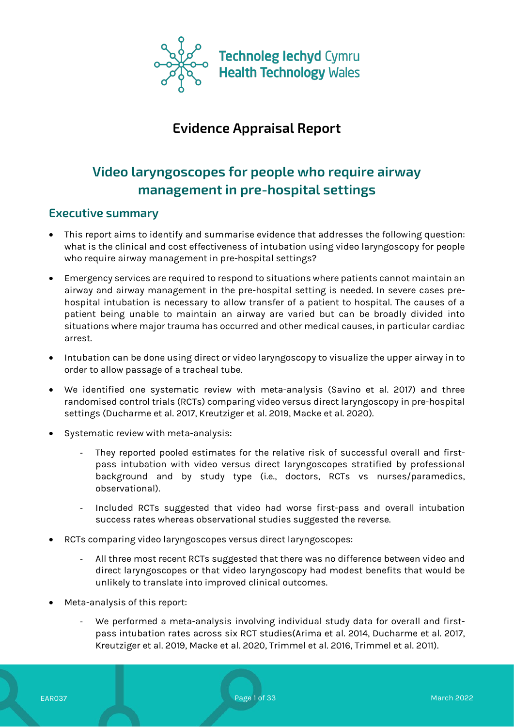

# **Evidence Appraisal Report**

# **Video laryngoscopes for people who require airway management in pre-hospital settings**

# **Executive summary**

- This report aims to identify and summarise evidence that addresses the following question: what is the clinical and cost effectiveness of intubation using video laryngoscopy for people who require airway management in pre-hospital settings?
- Emergency services are required to respond to situations where patients cannot maintain an airway and airway management in the pre-hospital setting is needed. In severe cases prehospital intubation is necessary to allow transfer of a patient to hospital. The causes of a patient being unable to maintain an airway are varied but can be broadly divided into situations where major trauma has occurred and other medical causes, in particular cardiac arrest.
- Intubation can be done using direct or video laryngoscopy to visualize the upper airway in to order to allow passage of a tracheal tube.
- We identified one systematic review with meta-analysis (Savino et al. 2017) and three randomised control trials (RCTs) comparing video versus direct laryngoscopy in pre-hospital settings (Ducharme et al. 2017, Kreutziger et al. 2019, Macke et al. 2020).
- Systematic review with meta-analysis:
	- They reported pooled estimates for the relative risk of successful overall and firstpass intubation with video versus direct laryngoscopes stratified by professional background and by study type (i.e., doctors, RCTs vs nurses/paramedics, observational).
	- Included RCTs suggested that video had worse first-pass and overall intubation success rates whereas observational studies suggested the reverse.
- RCTs comparing video laryngoscopes versus direct laryngoscopes:
	- All three most recent RCTs suggested that there was no difference between video and direct laryngoscopes or that video laryngoscopy had modest benefits that would be unlikely to translate into improved clinical outcomes.
- Meta-analysis of this report:
	- We performed a meta-analysis involving individual study data for overall and firstpass intubation rates across six RCT studies(Arima et al. 2014, Ducharme et al. 2017, Kreutziger et al. 2019, Macke et al. 2020, Trimmel et al. 2016, Trimmel et al. 2011).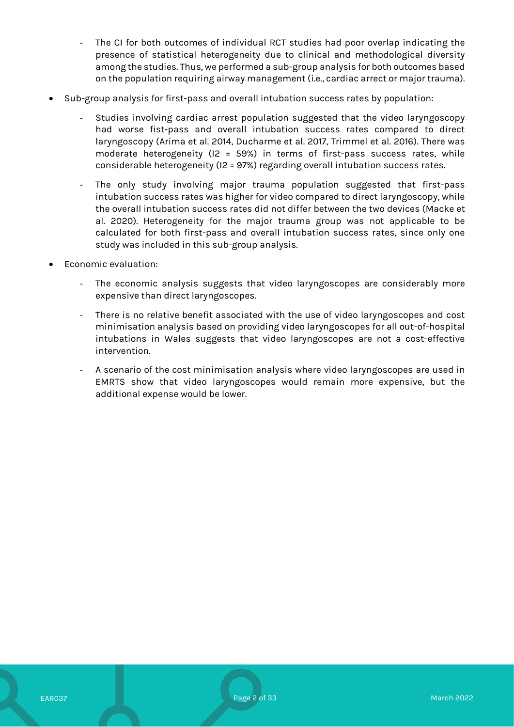- The CI for both outcomes of individual RCT studies had poor overlap indicating the presence of statistical heterogeneity due to clinical and methodological diversity among the studies. Thus, we performed a sub-group analysis for both outcomes based on the population requiring airway management (i.e., cardiac arrect or major trauma).
- Sub-group analysis for first-pass and overall intubation success rates by population:
	- Studies involving cardiac arrest population suggested that the video laryngoscopy had worse fist-pass and overall intubation success rates compared to direct laryngoscopy (Arima et al. 2014, Ducharme et al. 2017, Trimmel et al. 2016). There was moderate heterogeneity (I2 = 59%) in terms of first-pass success rates, while considerable heterogeneity (I2 = 97%) regarding overall intubation success rates.
	- The only study involving major trauma population suggested that first-pass intubation success rates was higher for video compared to direct laryngoscopy, while the overall intubation success rates did not differ between the two devices (Macke et al. 2020). Heterogeneity for the major trauma group was not applicable to be calculated for both first-pass and overall intubation success rates, since only one study was included in this sub-group analysis.
- Economic evaluation:
	- The economic analysis suggests that video laryngoscopes are considerably more expensive than direct laryngoscopes.
	- There is no relative benefit associated with the use of video laryngoscopes and cost minimisation analysis based on providing video laryngoscopes for all out-of-hospital intubations in Wales suggests that video laryngoscopes are not a cost-effective intervention.
	- A scenario of the cost minimisation analysis where video laryngoscopes are used in EMRTS show that video laryngoscopes would remain more expensive, but the additional expense would be lower.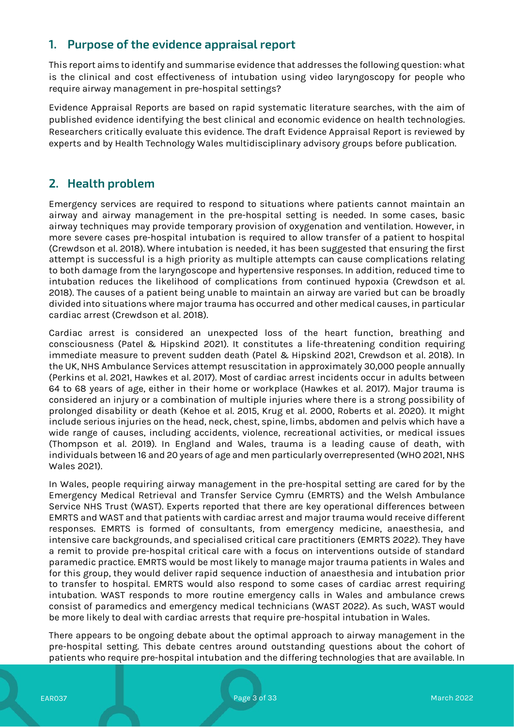# **1. Purpose of the evidence appraisal report**

This report aims to identify and summarise evidence that addresses the following question: what is the clinical and cost effectiveness of intubation using video laryngoscopy for people who require airway management in pre-hospital settings?

Evidence Appraisal Reports are based on rapid systematic literature searches, with the aim of published evidence identifying the best clinical and economic evidence on health technologies. Researchers critically evaluate this evidence. The draft Evidence Appraisal Report is reviewed by experts and by Health Technology Wales multidisciplinary advisory groups before publication.

# **2. Health problem**

Emergency services are required to respond to situations where patients cannot maintain an airway and airway management in the pre-hospital setting is needed. In some cases, basic airway techniques may provide temporary provision of oxygenation and ventilation. However, in more severe cases pre-hospital intubation is required to allow transfer of a patient to hospital (Crewdson et al. 2018). Where intubation is needed, it has been suggested that ensuring the first attempt is successful is a high priority as multiple attempts can cause complications relating to both damage from the laryngoscope and hypertensive responses. In addition, reduced time to intubation reduces the likelihood of complications from continued hypoxia (Crewdson et al. 2018). The causes of a patient being unable to maintain an airway are varied but can be broadly divided into situations where major trauma has occurred and other medical causes, in particular cardiac arrest (Crewdson et al. 2018).

Cardiac arrest is considered an unexpected loss of the heart function, breathing and consciousness (Patel & Hipskind 2021). It constitutes a life-threatening condition requiring immediate measure to prevent sudden death (Patel & Hipskind 2021, Crewdson et al. 2018). In the UK, NHS Ambulance Services attempt resuscitation in approximately 30,000 people annually (Perkins et al. 2021, Hawkes et al. 2017). Most of cardiac arrest incidents occur in adults between 64 to 68 years of age, either in their home or workplace (Hawkes et al. 2017). Major trauma is considered an injury or a combination of multiple injuries where there is a strong possibility of prolonged disability or death (Kehoe et al. 2015, Krug et al. 2000, Roberts et al. 2020). It might include serious injuries on the head, neck, chest, spine, limbs, abdomen and pelvis which have a wide range of causes, including accidents, violence, recreational activities, or medical issues (Thompson et al. 2019). In England and Wales, trauma is a leading cause of death, with individuals between 16 and 20 years of age and men particularly overrepresented (WHO 2021, NHS Wales 2021).

In Wales, people requiring airway management in the pre-hospital setting are cared for by the Emergency Medical Retrieval and Transfer Service Cymru (EMRTS) and the Welsh Ambulance Service NHS Trust (WAST). Experts reported that there are key operational differences between EMRTS and WAST and that patients with cardiac arrest and major trauma would receive different responses. EMRTS is formed of consultants, from emergency medicine, anaesthesia, and intensive care backgrounds, and specialised critical care practitioners (EMRTS 2022). They have a remit to provide pre-hospital critical care with a focus on interventions outside of standard paramedic practice. EMRTS would be most likely to manage major trauma patients in Wales and for this group, they would deliver rapid sequence induction of anaesthesia and intubation prior to transfer to hospital. EMRTS would also respond to some cases of cardiac arrest requiring intubation. WAST responds to more routine emergency calls in Wales and ambulance crews consist of paramedics and emergency medical technicians (WAST 2022). As such, WAST would be more likely to deal with cardiac arrests that require pre-hospital intubation in Wales.

There appears to be ongoing debate about the optimal approach to airway management in the pre-hospital setting. This debate centres around outstanding questions about the cohort of patients who require pre-hospital intubation and the differing technologies that are available. In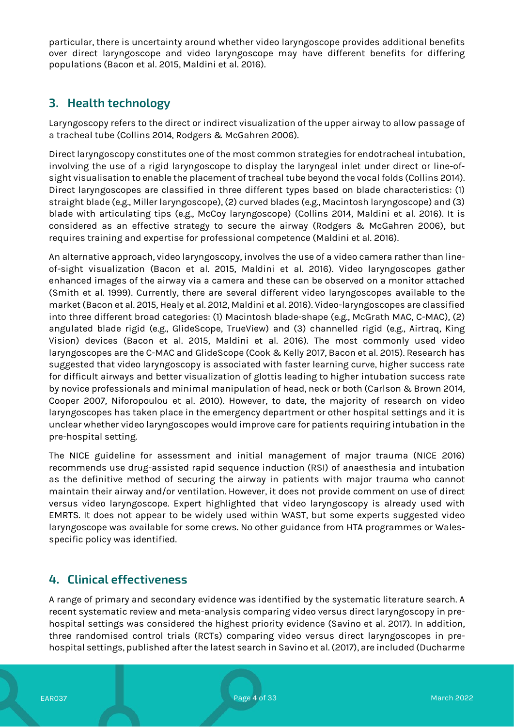particular, there is uncertainty around whether video laryngoscope provides additional benefits over direct laryngoscope and video laryngoscope may have different benefits for differing populations (Bacon et al. 2015, Maldini et al. 2016).

# **3. Health technology**

Laryngoscopy refers to the direct or indirect visualization of the upper airway to allow passage of a tracheal tube (Collins 2014, Rodgers & McGahren 2006).

Direct laryngoscopy constitutes one of the most common strategies for endotracheal intubation, involving the use of a rigid laryngoscope to display the laryngeal inlet under direct or line-ofsight visualisation to enable the placement of tracheal tube beyond the vocal folds (Collins 2014). Direct laryngoscopes are classified in three different types based on blade characteristics: (1) straight blade (e.g., Miller laryngoscope), (2) curved blades (e.g., Macintosh laryngoscope) and (3) blade with articulating tips (e.g., McCoy laryngoscope) (Collins 2014, Maldini et al. 2016). It is considered as an effective strategy to secure the airway (Rodgers & McGahren 2006), but requires training and expertise for professional competence (Maldini et al. 2016).

An alternative approach, video laryngoscopy, involves the use of a video camera rather than lineof-sight visualization (Bacon et al. 2015, Maldini et al. 2016). Video laryngoscopes gather enhanced images of the airway via a camera and these can be observed on a monitor attached (Smith et al. 1999). Currently, there are several different video laryngoscopes available to the market (Bacon et al. 2015, Healy et al. 2012, Maldini et al. 2016). Video-laryngoscopes are classified into three different broad categories: (1) Macintosh blade-shape (e.g., McGrath MAC, C-MAC), (2) angulated blade rigid (e.g., GlideScope, TrueView) and (3) channelled rigid (e.g., Airtraq, King Vision) devices (Bacon et al. 2015, Maldini et al. 2016). The most commonly used video laryngoscopes are the C-MAC and GlideScope (Cook & Kelly 2017, Bacon et al. 2015). Research has suggested that video laryngoscopy is associated with faster learning curve, higher success rate for difficult airways and better visualization of glottis leading to higher intubation success rate by novice professionals and minimal manipulation of head, neck or both (Carlson & Brown 2014, Cooper 2007, Niforopoulou et al. 2010). However, to date, the majority of research on video laryngoscopes has taken place in the emergency department or other hospital settings and it is unclear whether video laryngoscopes would improve care for patients requiring intubation in the pre-hospital setting.

The NICE guideline for assessment and initial management of major trauma (NICE 2016) recommends use drug-assisted rapid sequence induction (RSI) of anaesthesia and intubation as the definitive method of securing the airway in patients with major trauma who cannot maintain their airway and/or ventilation. However, it does not provide comment on use of direct versus video laryngoscope. Expert highlighted that video laryngoscopy is already used with EMRTS. It does not appear to be widely used within WAST, but some experts suggested video laryngoscope was available for some crews. No other guidance from HTA programmes or Walesspecific policy was identified.

# **4. Clinical effectiveness**

A range of primary and secondary evidence was identified by the systematic literature search. A recent systematic review and meta-analysis comparing video versus direct laryngoscopy in prehospital settings was considered the highest priority evidence (Savino et al. 2017). In addition, three randomised control trials (RCTs) comparing video versus direct laryngoscopes in prehospital settings, published after the latest search in Savino et al. (2017), are included (Ducharme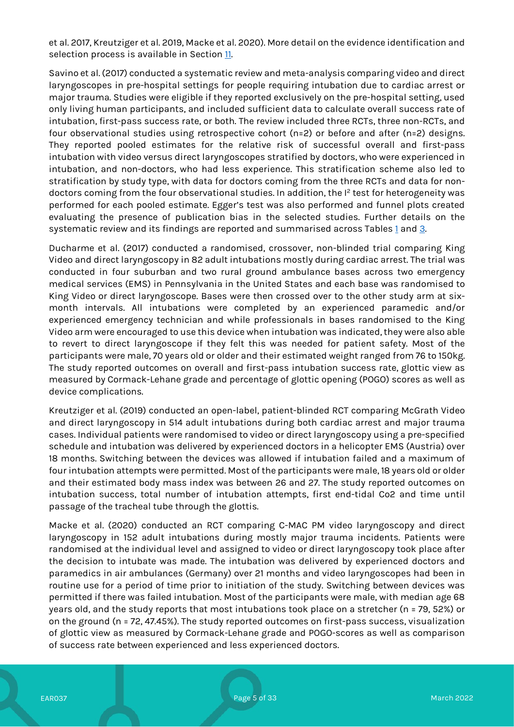et al. 2017, Kreutziger et al. 2019, Macke et al. 2020). More detail on the evidence identification and selection process is available in Section [11.](#page-29-0)

Savino et al. (2017) conducted a systematic review and meta-analysis comparing video and direct laryngoscopes in pre-hospital settings for people requiring intubation due to cardiac arrest or major trauma. Studies were eligible if they reported exclusively on the pre-hospital setting, used only living human participants, and included sufficient data to calculate overall success rate of intubation, first-pass success rate, or both. The review included three RCTs, three non-RCTs, and four observational studies using retrospective cohort (n=2) or before and after (n=2) designs. They reported pooled estimates for the relative risk of successful overall and first-pass intubation with video versus direct laryngoscopes stratified by doctors, who were experienced in intubation, and non-doctors, who had less experience. This stratification scheme also led to stratification by study type, with data for doctors coming from the three RCTs and data for nondoctors coming from the four observational studies. In addition, the I<sup>2</sup> test for heterogeneity was performed for each pooled estimate. Egger's test was also performed and funnel plots created evaluating the presence of publication bias in the selected studies. Further details on the systematic review and its findings are reported and summarised across Tables [1](#page-6-0) and [3.](#page-12-0)

Ducharme et al. (2017) conducted a randomised, crossover, non-blinded trial comparing King Video and direct laryngoscopy in 82 adult intubations mostly during cardiac arrest. The trial was conducted in four suburban and two rural ground ambulance bases across two emergency medical services (EMS) in Pennsylvania in the United States and each base was randomised to King Video or direct laryngoscope. Bases were then crossed over to the other study arm at sixmonth intervals. All intubations were completed by an experienced paramedic and/or experienced emergency technician and while professionals in bases randomised to the King Video arm were encouraged to use this device when intubation was indicated, they were also able to revert to direct laryngoscope if they felt this was needed for patient safety. Most of the participants were male, 70 years old or older and their estimated weight ranged from 76 to 150kg. The study reported outcomes on overall and first-pass intubation success rate, glottic view as measured by Cormack-Lehane grade and percentage of glottic opening (POGO) scores as well as device complications.

Kreutziger et al. (2019) conducted an open-label, patient-blinded RCT comparing McGrath Video and direct laryngoscopy in 514 adult intubations during both cardiac arrest and major trauma cases. Individual patients were randomised to video or direct laryngoscopy using a pre-specified schedule and intubation was delivered by experienced doctors in a helicopter EMS (Austria) over 18 months. Switching between the devices was allowed if intubation failed and a maximum of four intubation attempts were permitted. Most of the participants were male, 18 years old or older and their estimated body mass index was between 26 and 27. The study reported outcomes on intubation success, total number of intubation attempts, first end-tidal Co2 and time until passage of the tracheal tube through the glottis.

Macke et al. (2020) conducted an RCT comparing C-MAC PM video laryngoscopy and direct laryngoscopy in 152 adult intubations during mostly major trauma incidents. Patients were randomised at the individual level and assigned to video or direct laryngoscopy took place after the decision to intubate was made. The intubation was delivered by experienced doctors and paramedics in air ambulances (Germany) over 21 months and video laryngoscopes had been in routine use for a period of time prior to initiation of the study. Switching between devices was permitted if there was failed intubation. Most of the participants were male, with median age 68 years old, and the study reports that most intubations took place on a stretcher (n = 79, 52%) or on the ground (n = 72, 47.45%). The study reported outcomes on first-pass success, visualization of glottic view as measured by Cormack-Lehane grade and POGO-scores as well as comparison of success rate between experienced and less experienced doctors.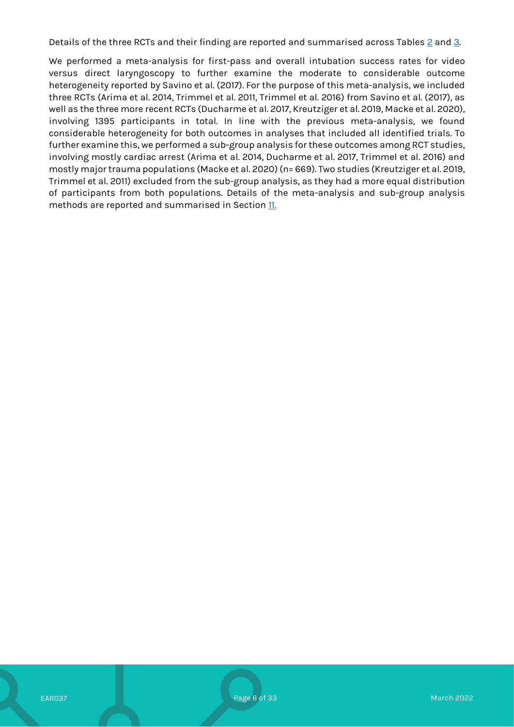Details of the three RCTs and their finding are reported and summarised across Tables  $\geq$  and  $\geq$ .

We performed a meta-analysis for first-pass and overall intubation success rates for video versus direct laryngoscopy to further examine the moderate to considerable outcome heterogeneity reported by Savino et al. (2017). For the purpose of this meta-analysis, we included three RCTs (Arima et al. 2014, Trimmel et al. 2011, Trimmel et al. 2016) from Savino et al. (2017), as well as the three more recent RCTs (Ducharme et al. 2017, Kreutziger et al. 2019, Macke et al. 2020), involving 1395 participants in total. In line with the previous meta-analysis, we found considerable heterogeneity for both outcomes in analyses that included all identified trials. To further examine this, we performed a sub-group analysis for these outcomes among RCT studies, involving mostly cardiac arrest (Arima et al. 2014, Ducharme et al. 2017, Trimmel et al. 2016) and mostly major trauma populations (Macke et al. 2020)(n= 669). Two studies (Kreutziger et al. 2019, Trimmel et al. 2011) excluded from the sub-group analysis, as they had a more equal distribution of participants from both populations. Details of the meta-analysis and sub-group analysis methods are reported and summarised in Section [11.](#page-29-0)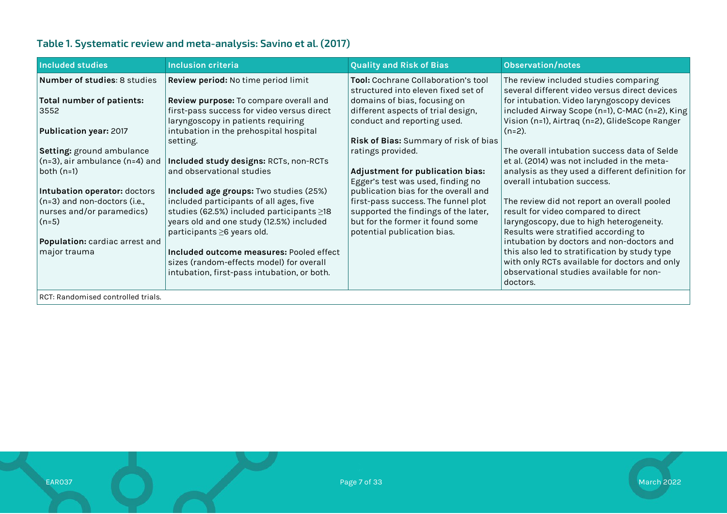# **Table 1. Systematic review and meta-analysis: Savino et al. (2017)**

<span id="page-6-0"></span>

| <b>Included studies</b>             | <b>Inclusion criteria</b>                       | <b>Quality and Risk of Bias</b>                                            | <b>Observation/notes</b>                                                               |
|-------------------------------------|-------------------------------------------------|----------------------------------------------------------------------------|----------------------------------------------------------------------------------------|
| <b>Number of studies: 8 studies</b> | Review period: No time period limit             | Tool: Cochrane Collaboration's tool<br>structured into eleven fixed set of | The review included studies comparing<br>several different video versus direct devices |
| <b>Total number of patients:</b>    | Review purpose: To compare overall and          | domains of bias, focusing on                                               | for intubation. Video laryngoscopy devices                                             |
| 3552                                | first-pass success for video versus direct      | different aspects of trial design,                                         | included Airway Scope (n=1), C-MAC (n=2), King                                         |
|                                     | laryngoscopy in patients requiring              | conduct and reporting used.                                                | Vision (n=1), Airtraq (n=2), GlideScope Ranger                                         |
| <b>Publication year: 2017</b>       | intubation in the prehospital hospital          | Risk of Bias: Summary of risk of bias                                      | $(n=2)$ .                                                                              |
| Setting: ground ambulance           | setting.                                        | ratings provided.                                                          | The overall intubation success data of Selde                                           |
| $(n=3)$ , air ambulance $(n=4)$ and | Included study designs: RCTs, non-RCTs          |                                                                            | et al. (2014) was not included in the meta-                                            |
| both $(n=1)$                        | and observational studies                       | Adjustment for publication bias:                                           | analysis as they used a different definition for                                       |
|                                     |                                                 | Egger's test was used, finding no                                          | overall intubation success.                                                            |
| Intubation operator: doctors        | Included age groups: Two studies (25%)          | publication bias for the overall and                                       |                                                                                        |
| (n=3) and non-doctors (i.e.,        | included participants of all ages, five         | first-pass success. The funnel plot                                        | The review did not report an overall pooled                                            |
| nurses and/or paramedics)           | studies (62.5%) included participants $\geq$ 18 | supported the findings of the later,                                       | result for video compared to direct                                                    |
| $(n=5)$                             | years old and one study (12.5%) included        | but for the former it found some                                           | laryngoscopy, due to high heterogeneity.                                               |
|                                     | participants ≥6 years old.                      | potential publication bias.                                                | Results were stratified according to                                                   |
| Population: cardiac arrest and      |                                                 |                                                                            | intubation by doctors and non-doctors and                                              |
| major trauma                        | Included outcome measures: Pooled effect        |                                                                            | this also led to stratification by study type                                          |
|                                     | sizes (random-effects model) for overall        |                                                                            | with only RCTs available for doctors and only                                          |
|                                     | intubation, first-pass intubation, or both.     |                                                                            | observational studies available for non-                                               |
|                                     |                                                 |                                                                            | doctors.                                                                               |
| RCT: Randomised controlled trials.  |                                                 |                                                                            |                                                                                        |

EAR037 Page 7 of 33 March 2022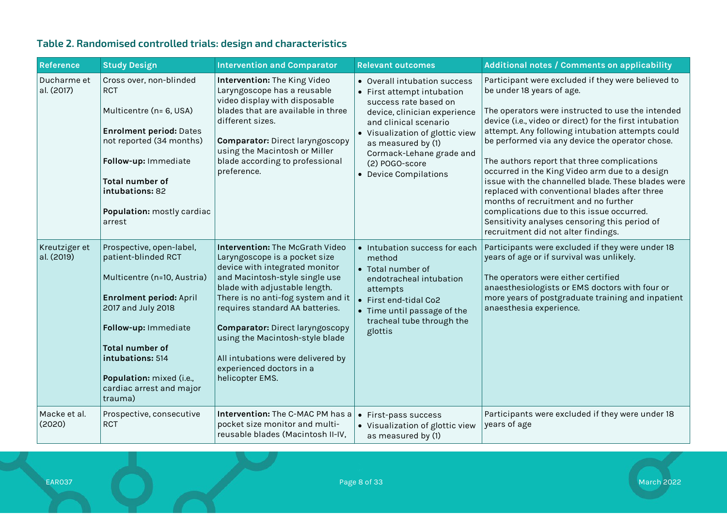# **Table 2. Randomised controlled trials: design and characteristics**

<span id="page-7-0"></span>

| <b>Reference</b>            | <b>Study Design</b>                                                                                                                                                                                                                                                             | <b>Intervention and Comparator</b>                                                                                                                                                                                                                                                                                                                                                                              | <b>Relevant outcomes</b>                                                                                                                                                                                                                                                     | Additional notes / Comments on applicability                                                                                                                                                                                                                                                                                                                                                                                                                                                                                                                                                                                                                                                |
|-----------------------------|---------------------------------------------------------------------------------------------------------------------------------------------------------------------------------------------------------------------------------------------------------------------------------|-----------------------------------------------------------------------------------------------------------------------------------------------------------------------------------------------------------------------------------------------------------------------------------------------------------------------------------------------------------------------------------------------------------------|------------------------------------------------------------------------------------------------------------------------------------------------------------------------------------------------------------------------------------------------------------------------------|---------------------------------------------------------------------------------------------------------------------------------------------------------------------------------------------------------------------------------------------------------------------------------------------------------------------------------------------------------------------------------------------------------------------------------------------------------------------------------------------------------------------------------------------------------------------------------------------------------------------------------------------------------------------------------------------|
| Ducharme et<br>al. (2017)   | Cross over, non-blinded<br><b>RCT</b><br>Multicentre (n= 6, USA)<br><b>Enrolment period: Dates</b><br>not reported (34 months)<br>Follow-up: Immediate<br><b>Total number of</b><br>intubations: 82<br>Population: mostly cardiac<br>arrest                                     | Intervention: The King Video<br>Laryngoscope has a reusable<br>video display with disposable<br>blades that are available in three<br>different sizes.<br><b>Comparator:</b> Direct laryngoscopy<br>using the Macintosh or Miller<br>blade according to professional<br>preference.                                                                                                                             | • Overall intubation success<br>• First attempt intubation<br>success rate based on<br>device, clinician experience<br>and clinical scenario<br>• Visualization of glottic view<br>as measured by (1)<br>Cormack-Lehane grade and<br>(2) POGO-score<br>• Device Compilations | Participant were excluded if they were believed to<br>be under 18 years of age.<br>The operators were instructed to use the intended<br>device (i.e., video or direct) for the first intubation<br>attempt. Any following intubation attempts could<br>be performed via any device the operator chose.<br>The authors report that three complications<br>occurred in the King Video arm due to a design<br>issue with the channelled blade. These blades were<br>replaced with conventional blades after three<br>months of recruitment and no further<br>complications due to this issue occurred.<br>Sensitivity analyses censoring this period of<br>recruitment did not alter findings. |
| Kreutziger et<br>al. (2019) | Prospective, open-label,<br>patient-blinded RCT<br>Multicentre (n=10, Austria)<br><b>Enrolment period: April</b><br>2017 and July 2018<br>Follow-up: Immediate<br><b>Total number of</b><br>intubations: 514<br>Population: mixed (i.e.,<br>cardiac arrest and major<br>trauma) | Intervention: The McGrath Video<br>Laryngoscope is a pocket size<br>device with integrated monitor<br>and Macintosh-style single use<br>blade with adjustable length.<br>There is no anti-fog system and it<br>requires standard AA batteries.<br><b>Comparator:</b> Direct laryngoscopy<br>using the Macintosh-style blade<br>All intubations were delivered by<br>experienced doctors in a<br>helicopter EMS. | • Intubation success for each<br>method<br>• Total number of<br>endotracheal intubation<br>attempts<br>• First end-tidal Co2<br>• Time until passage of the<br>tracheal tube through the<br>glottis                                                                          | Participants were excluded if they were under 18<br>years of age or if survival was unlikely.<br>The operators were either certified<br>anaesthesiologists or EMS doctors with four or<br>more years of postgraduate training and inpatient<br>anaesthesia experience.                                                                                                                                                                                                                                                                                                                                                                                                                      |
| Macke et al.<br>(2020)      | Prospective, consecutive<br><b>RCT</b>                                                                                                                                                                                                                                          | Intervention: The C-MAC PM has a<br>pocket size monitor and multi-<br>reusable blades (Macintosh II-IV,                                                                                                                                                                                                                                                                                                         | • First-pass success<br>• Visualization of glottic view<br>as measured by (1)                                                                                                                                                                                                | Participants were excluded if they were under 18<br>years of age                                                                                                                                                                                                                                                                                                                                                                                                                                                                                                                                                                                                                            |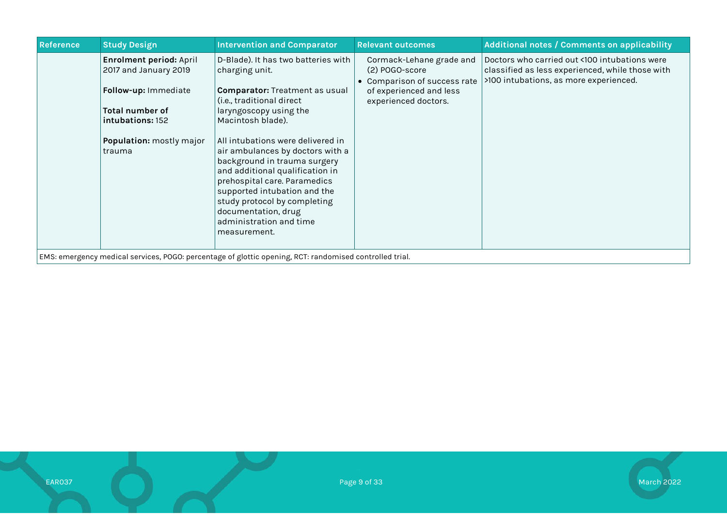| <b>Reference</b> | <b>Study Design</b>                                                                                                                                   | <b>Intervention and Comparator</b>                                                                                                                                                                                                                                                                                                                                                                                                                                                       | <b>Relevant outcomes</b>                                                                                                      | <b>Additional notes / Comments on applicability</b>                                                                                         |
|------------------|-------------------------------------------------------------------------------------------------------------------------------------------------------|------------------------------------------------------------------------------------------------------------------------------------------------------------------------------------------------------------------------------------------------------------------------------------------------------------------------------------------------------------------------------------------------------------------------------------------------------------------------------------------|-------------------------------------------------------------------------------------------------------------------------------|---------------------------------------------------------------------------------------------------------------------------------------------|
|                  | Enrolment period: April<br>2017 and January 2019<br>Follow-up: Immediate<br>Total number of<br>intubations: 152<br>Population: mostly major<br>trauma | D-Blade). It has two batteries with<br>charging unit.<br><b>Comparator:</b> Treatment as usual<br>(i.e., traditional direct<br>laryngoscopy using the<br>Macintosh blade).<br>All intubations were delivered in<br>air ambulances by doctors with a<br>background in trauma surgery<br>and additional qualification in<br>prehospital care. Paramedics<br>supported intubation and the<br>study protocol by completing<br>documentation, drug<br>administration and time<br>measurement. | Cormack-Lehane grade and<br>(2) POGO-score<br>• Comparison of success rate<br>of experienced and less<br>experienced doctors. | Doctors who carried out <100 intubations were<br>classified as less experienced, while those with<br>>100 intubations, as more experienced. |
|                  |                                                                                                                                                       | EMS: emergency medical services, POGO: percentage of glottic opening, RCT: randomised controlled trial.                                                                                                                                                                                                                                                                                                                                                                                  |                                                                                                                               |                                                                                                                                             |

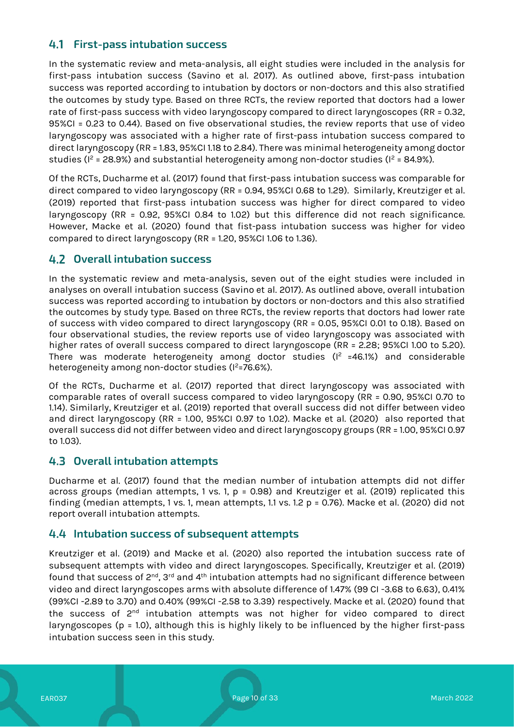# **First-pass intubation success**

In the systematic review and meta-analysis, all eight studies were included in the analysis for first-pass intubation success (Savino et al. 2017). As outlined above, first-pass intubation success was reported according to intubation by doctors or non-doctors and this also stratified the outcomes by study type. Based on three RCTs, the review reported that doctors had a lower rate of first-pass success with video laryngoscopy compared to direct laryngoscopes (RR = 0.32, 95%CI = 0.23 to 0.44). Based on five observational studies, the review reports that use of video laryngoscopy was associated with a higher rate of first-pass intubation success compared to direct laryngoscopy (RR = 1.83, 95%CI 1.18 to 2.84). There was minimal heterogeneity among doctor studies ( $I^2$  = 28.9%) and substantial heterogeneity among non-doctor studies ( $I^2$  = 84.9%).

Of the RCTs, Ducharme et al. (2017) found that first-pass intubation success was comparable for direct compared to video laryngoscopy (RR = 0.94, 95%CI 0.68 to 1.29). Similarly, Kreutziger et al. (2019) reported that first-pass intubation success was higher for direct compared to video laryngoscopy (RR = 0.92, 95%CI 0.84 to 1.02) but this difference did not reach significance. However, Macke et al. (2020) found that fist-pass intubation success was higher for video compared to direct laryngoscopy (RR = 1.20, 95%CI 1.06 to 1.36).

### **Overall intubation success**

In the systematic review and meta-analysis, seven out of the eight studies were included in analyses on overall intubation success (Savino et al. 2017). As outlined above, overall intubation success was reported according to intubation by doctors or non-doctors and this also stratified the outcomes by study type. Based on three RCTs, the review reports that doctors had lower rate of success with video compared to direct laryngoscopy (RR = 0.05, 95%CI 0.01 to 0.18). Based on four observational studies, the review reports use of video laryngoscopy was associated with higher rates of overall success compared to direct laryngoscope (RR = 2.28; 95%CI 1.00 to 5.20). There was moderate heterogeneity among doctor studies ( $I^2$  =46.1%) and considerable heterogeneity among non-doctor studies ( $I^2$ =76.6%).

Of the RCTs, Ducharme et al. (2017) reported that direct laryngoscopy was associated with comparable rates of overall success compared to video laryngoscopy (RR = 0.90, 95%CI 0.70 to 1.14). Similarly, Kreutziger et al. (2019) reported that overall success did not differ between video and direct laryngoscopy (RR = 1.00, 95%CI 0.97 to 1.02). Macke et al. (2020) also reported that overall success did not differ between video and direct laryngoscopy groups (RR = 1.00, 95%CI 0.97 to 1.03).

### **Overall intubation attempts**

Ducharme et al. (2017) found that the median number of intubation attempts did not differ across groups (median attempts, 1 vs. 1,  $p = 0.98$ ) and Kreutziger et al. (2019) replicated this finding (median attempts, 1 vs. 1, mean attempts, 1.1 vs. 1.2 p = 0.76). Macke et al. (2020) did not report overall intubation attempts.

### **Intubation success of subsequent attempts**

Kreutziger et al. (2019) and Macke et al. (2020) also reported the intubation success rate of subsequent attempts with video and direct laryngoscopes. Specifically, Kreutziger et al. (2019) found that success of  $2^{nd}$ ,  $3^{rd}$  and  $4^{th}$  intubation attempts had no significant difference between video and direct laryngoscopes arms with absolute difference of 1.47% (99 CI -3.68 to 6.63), 0.41% (99%CI -2.89 to 3.70) and 0.40% (99%CI -2.58 to 3.39) respectively. Macke et al. (2020) found that the success of 2<sup>nd</sup> intubation attempts was not higher for video compared to direct laryngoscopes (p = 1.0), although this is highly likely to be influenced by the higher first-pass intubation success seen in this study.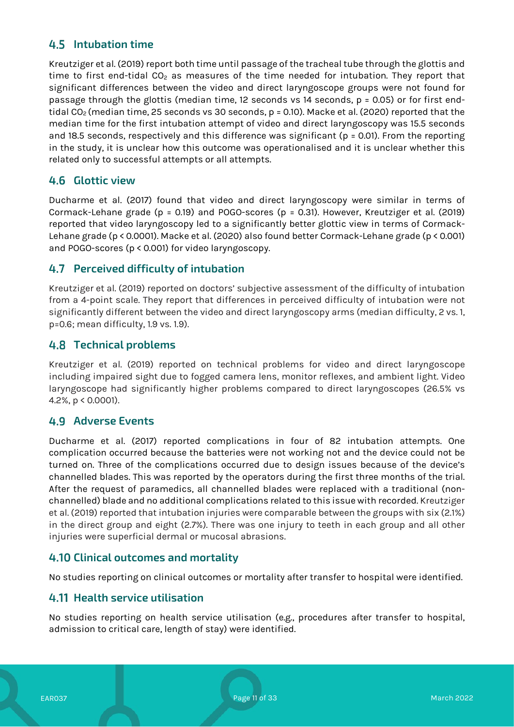# **Intubation time**

Kreutziger et al. (2019) report both time until passage of the tracheal tube through the glottis and time to first end-tidal  $CO<sub>2</sub>$  as measures of the time needed for intubation. They report that significant differences between the video and direct laryngoscope groups were not found for passage through the glottis (median time, 12 seconds vs 14 seconds, p = 0.05) or for first endtidal CO<sub>2</sub> (median time, 25 seconds vs 30 seconds,  $p = 0.10$ ). Macke et al. (2020) reported that the median time for the first intubation attempt of video and direct laryngoscopy was 15.5 seconds and 18.5 seconds, respectively and this difference was significant ( $p = 0.01$ ). From the reporting in the study, it is unclear how this outcome was operationalised and it is unclear whether this related only to successful attempts or all attempts.

### **Glottic view**

Ducharme et al. (2017) found that video and direct laryngoscopy were similar in terms of Cormack-Lehane grade (p = 0.19) and POGO-scores (p = 0.31). However, Kreutziger et al. (2019) reported that video laryngoscopy led to a significantly better glottic view in terms of Cormack-Lehane grade (p < 0.0001). Macke et al. (2020) also found better Cormack-Lehane grade (p < 0.001) and POGO-scores (p < 0.001) for video laryngoscopy.

# **Perceived difficulty of intubation**

Kreutziger et al. (2019) reported on doctors' subjective assessment of the difficulty of intubation from a 4-point scale. They report that differences in perceived difficulty of intubation were not significantly different between the video and direct laryngoscopy arms (median difficulty, 2 vs. 1, p=0.6; mean difficulty, 1.9 vs. 1.9).

### **Technical problems**

Kreutziger et al. (2019) reported on technical problems for video and direct laryngoscope including impaired sight due to fogged camera lens, monitor reflexes, and ambient light. Video laryngoscope had significantly higher problems compared to direct laryngoscopes (26.5% vs 4.2%, p < 0.0001).

### **Adverse Events**

Ducharme et al. (2017) reported complications in four of 82 intubation attempts. One complication occurred because the batteries were not working not and the device could not be turned on. Three of the complications occurred due to design issues because of the device's channelled blades. This was reported by the operators during the first three months of the trial. After the request of paramedics, all channelled blades were replaced with a traditional (nonchannelled) blade and no additional complications related to this issue with recorded. Kreutziger et al. (2019) reported that intubation injuries were comparable between the groups with six (2.1%) in the direct group and eight (2.7%). There was one injury to teeth in each group and all other injuries were superficial dermal or mucosal abrasions.

### **Clinical outcomes and mortality**

No studies reporting on clinical outcomes or mortality after transfer to hospital were identified.

# **Health service utilisation**

No studies reporting on health service utilisation (e.g., procedures after transfer to hospital, admission to critical care, length of stay) were identified.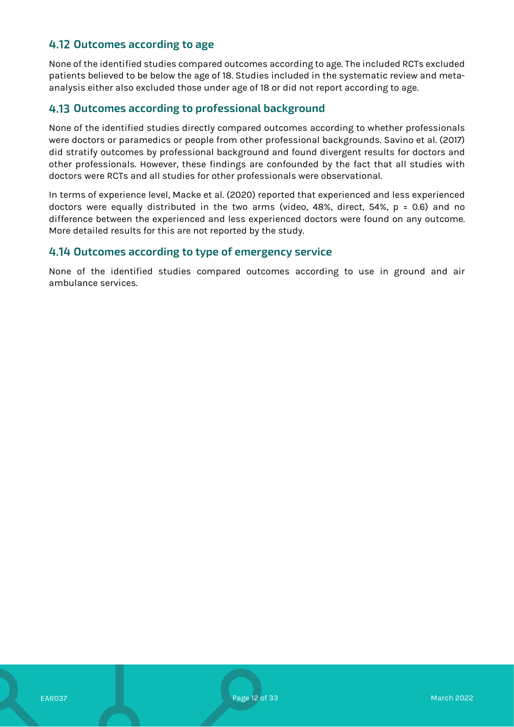# **Outcomes according to age**

None of the identified studies compared outcomes according to age. The included RCTs excluded patients believed to be below the age of 18. Studies included in the systematic review and metaanalysis either also excluded those under age of 18 or did not report according to age.

### **Outcomes according to professional background**

None of the identified studies directly compared outcomes according to whether professionals were doctors or paramedics or people from other professional backgrounds. Savino et al. (2017) did stratify outcomes by professional background and found divergent results for doctors and other professionals. However, these findings are confounded by the fact that all studies with doctors were RCTs and all studies for other professionals were observational.

In terms of experience level, Macke et al. (2020) reported that experienced and less experienced doctors were equally distributed in the two arms (video, 48%, direct, 54%, p = 0.6) and no difference between the experienced and less experienced doctors were found on any outcome. More detailed results for this are not reported by the study.

#### **Outcomes according to type of emergency service**

None of the identified studies compared outcomes according to use in ground and air ambulance services.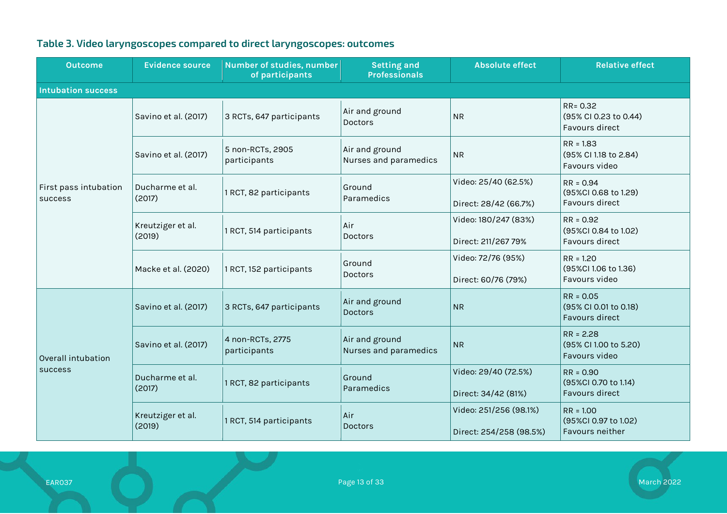<span id="page-12-0"></span>

| <b>Outcome</b>                   | <b>Evidence source</b>      | Number of studies, number<br>of participants | <b>Setting and</b><br><b>Professionals</b> | <b>Absolute effect</b>                            | <b>Relative effect</b>                                       |
|----------------------------------|-----------------------------|----------------------------------------------|--------------------------------------------|---------------------------------------------------|--------------------------------------------------------------|
| <b>Intubation success</b>        |                             |                                              |                                            |                                                   |                                                              |
|                                  | Savino et al. (2017)        | 3 RCTs, 647 participants                     | Air and ground<br>Doctors                  | <b>NR</b>                                         | RR= 0.32<br>(95% CI 0.23 to 0.44)<br>Favours direct          |
|                                  | Savino et al. (2017)        | 5 non-RCTs, 2905<br>participants             | Air and ground<br>Nurses and paramedics    | <b>NR</b>                                         | $RR = 1.83$<br>(95% CI 1.18 to 2.84)<br>Favours video        |
| First pass intubation<br>success | Ducharme et al.<br>(2017)   | 1 RCT, 82 participants                       | Ground<br>Paramedics                       | Video: 25/40 (62.5%)<br>Direct: 28/42 (66.7%)     | $RR = 0.94$<br>(95%CI 0.68 to 1.29)<br>Favours direct        |
|                                  | Kreutziger et al.<br>(2019) | 1 RCT, 514 participants                      | Air<br>Doctors                             | Video: 180/247 (83%)<br>Direct: 211/267 79%       | $RR = 0.92$<br>(95%CI 0.84 to 1.02)<br>Favours direct        |
|                                  | Macke et al. (2020)         | 1 RCT, 152 participants                      | Ground<br><b>Doctors</b>                   | Video: 72/76 (95%)<br>Direct: 60/76 (79%)         | $RR = 1.20$<br>(95%CI 1.06 to 1.36)<br>Favours video         |
| Overall intubation<br>success    | Savino et al. (2017)        | 3 RCTs, 647 participants                     | Air and ground<br><b>Doctors</b>           | <b>NR</b>                                         | $RR = 0.05$<br>(95% CI 0.01 to 0.18)<br>Favours direct       |
|                                  | Savino et al. (2017)        | 4 non-RCTs, 2775<br>participants             | Air and ground<br>Nurses and paramedics    | <b>NR</b>                                         | $RR = 2.28$<br>(95% CI 1.00 to 5.20)<br>Favours video        |
|                                  | Ducharme et al.<br>(2017)   | 1 RCT, 82 participants                       | Ground<br>Paramedics                       | Video: 29/40 (72.5%)<br>Direct: 34/42 (81%)       | $RR = 0.90$<br>(95%CI 0.70 to 1.14)<br><b>Favours direct</b> |
|                                  | Kreutziger et al.<br>(2019) | 1 RCT, 514 participants                      | Air<br>Doctors                             | Video: 251/256 (98.1%)<br>Direct: 254/258 (98.5%) | $RR = 1.00$<br>(95%CI 0.97 to 1.02)<br>Favours neither       |

# **Table 3. Video laryngoscopes compared to direct laryngoscopes: outcomes**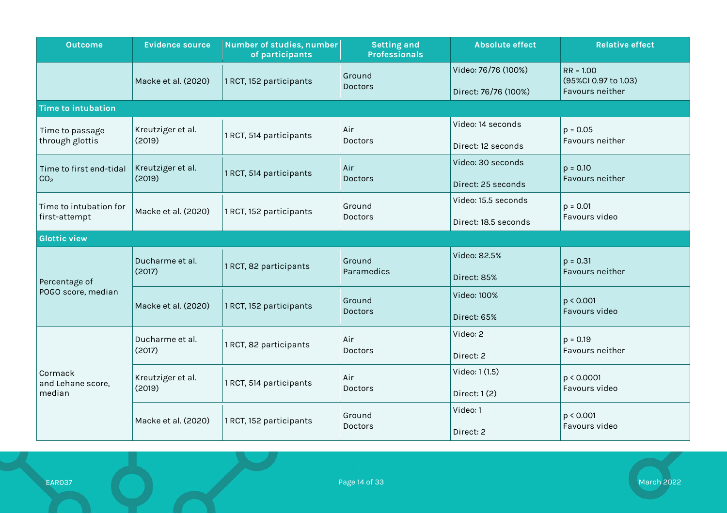| <b>Outcome</b>                             | <b>Evidence source</b>      | Number of studies, number<br>of participants | <b>Setting and</b><br><b>Professionals</b>                       | <b>Absolute effect</b>                      | <b>Relative effect</b>                                 |  |
|--------------------------------------------|-----------------------------|----------------------------------------------|------------------------------------------------------------------|---------------------------------------------|--------------------------------------------------------|--|
|                                            | Macke et al. (2020)         | 1 RCT, 152 participants                      | Ground<br><b>Doctors</b>                                         | Video: 76/76 (100%)<br>Direct: 76/76 (100%) | $RR = 1.00$<br>(95%CI 0.97 to 1.03)<br>Favours neither |  |
| <b>Time to intubation</b>                  |                             |                                              |                                                                  |                                             |                                                        |  |
| Time to passage<br>through glottis         | Kreutziger et al.<br>(2019) | 1 RCT, 514 participants                      | Air<br>Doctors                                                   | Video: 14 seconds<br>Direct: 12 seconds     | $p = 0.05$<br>Favours neither                          |  |
| Time to first end-tidal<br>CO <sub>2</sub> | Kreutziger et al.<br>(2019) | 1 RCT, 514 participants                      | Air  <br>Doctors                                                 | Video: 30 seconds<br>Direct: 25 seconds     | $p = 0.10$<br>Favours neither                          |  |
| Time to intubation for<br>first-attempt    | Macke et al. (2020)         | 1 RCT, 152 participants                      | Video: 15.5 seconds<br>Ground<br>Doctors<br>Direct: 18.5 seconds |                                             | $p = 0.01$<br>Favours video                            |  |
| <b>Glottic view</b>                        |                             |                                              |                                                                  |                                             |                                                        |  |
| Percentage of<br>POGO score, median        | Ducharme et al.<br>(2017)   | 1 RCT, 82 participants                       | Ground<br>Paramedics                                             | Video: 82.5%<br>Direct: 85%                 | $p = 0.31$<br>Favours neither                          |  |
|                                            | Macke et al. (2020)         | 1 RCT, 152 participants                      | Ground<br>Doctors                                                | Video: 100%<br>Direct: 65%                  | p < 0.001<br>Favours video                             |  |
| Cormack<br>and Lehane score,<br>median     | Ducharme et al.<br>(2017)   | 1 RCT, 82 participants                       | Air<br>Doctors                                                   | Video: 2<br>Direct: 2                       | $p = 0.19$<br>Favours neither                          |  |
|                                            | Kreutziger et al.<br>(2019) | 1 RCT, 514 participants                      | Air<br>Doctors                                                   | Video: 1 (1.5)<br>Direct: $1(2)$            | p < 0.0001<br>Favours video                            |  |
|                                            | Macke et al. (2020)         | 1 RCT, 152 participants                      | Ground<br><b>Doctors</b>                                         | Video: 1<br>Direct: 2                       | p < 0.001<br>Favours video                             |  |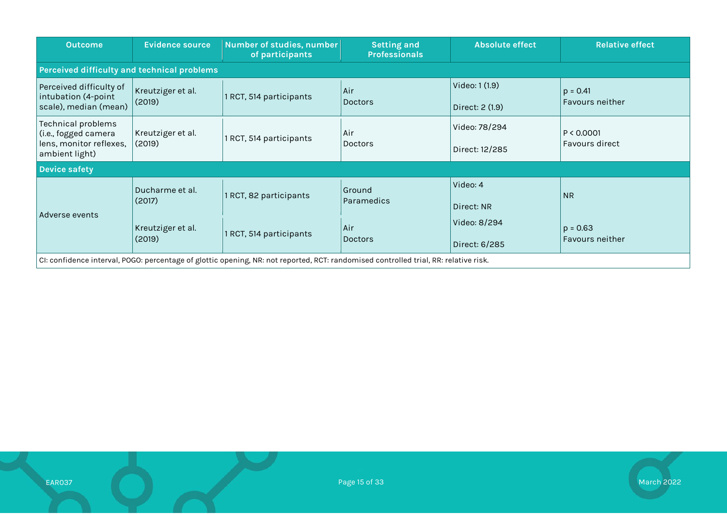| <b>Outcome</b>                                                                          | <b>Evidence source</b>                      | Number of studies, number<br>of participants                                                                                         | <b>Absolute effect</b><br><b>Setting and</b><br><b>Professionals</b> |                                   | <b>Relative effect</b>               |  |  |  |  |
|-----------------------------------------------------------------------------------------|---------------------------------------------|--------------------------------------------------------------------------------------------------------------------------------------|----------------------------------------------------------------------|-----------------------------------|--------------------------------------|--|--|--|--|
|                                                                                         | Perceived difficulty and technical problems |                                                                                                                                      |                                                                      |                                   |                                      |  |  |  |  |
| Perceived difficulty of<br>intubation (4-point<br>scale), median (mean)                 | Kreutziger et al.<br>(2019)                 | 1 RCT, 514 participants                                                                                                              | Air<br><b>Doctors</b>                                                | Video: 1 (1.9)<br>Direct: 2 (1.9) | $p = 0.41$<br><b>Favours neither</b> |  |  |  |  |
| Technical problems<br>(i.e., fogged camera<br>lens, monitor reflexes,<br>ambient light) | Kreutziger et al.<br>(2019)                 | 1 RCT, 514 participants                                                                                                              | Air<br><b>Doctors</b>                                                | Video: 78/294<br>Direct: 12/285   | P < 0.0001<br>Favours direct         |  |  |  |  |
| <b>Device safety</b>                                                                    |                                             |                                                                                                                                      |                                                                      |                                   |                                      |  |  |  |  |
|                                                                                         | Ducharme et al.<br>(2017)                   | 1 RCT, 82 participants                                                                                                               | Ground<br>Paramedics                                                 | Video: 4<br>Direct: NR            | <b>NR</b>                            |  |  |  |  |
| Adverse events                                                                          | Kreutziger et al.<br>(2019)                 | 1 RCT, 514 participants                                                                                                              | Air<br><b>Doctors</b>                                                | Video: 8/294<br>Direct: 6/285     | $p = 0.63$<br>Favours neither        |  |  |  |  |
|                                                                                         |                                             | CI: confidence interval, POGO: percentage of glottic opening, NR: not reported, RCT: randomised controlled trial, RR: relative risk. |                                                                      |                                   |                                      |  |  |  |  |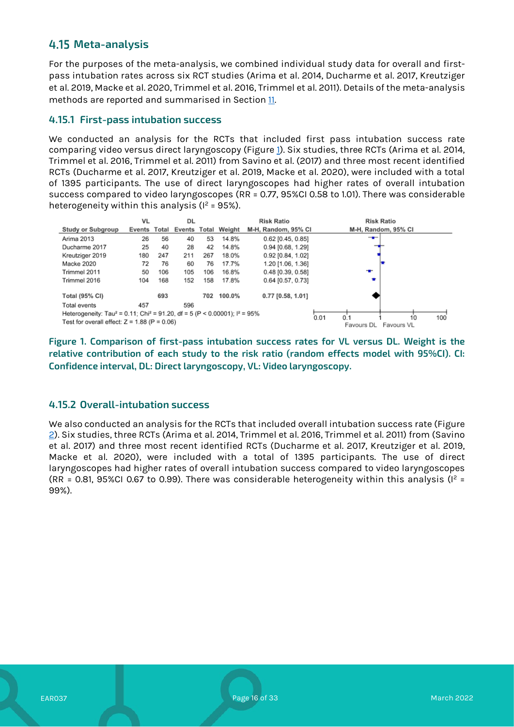# **Meta-analysis**

For the purposes of the meta-analysis, we combined individual study data for overall and firstpass intubation rates across six RCT studies (Arima et al. 2014, Ducharme et al. 2017, Kreutziger et al. 2019, Macke et al. 2020, Trimmel et al. 2016, Trimmel et al. 2011). Details of the meta-analysis methods are reported and summarised in Section [11.](#page-29-0)

#### **4.15.1 First-pass intubation success**

We conducted an analysis for the RCTs that included first pass intubation success rate comparing video versus direct laryngoscopy (Figure 1). Six studies, three RCTs (Arima et al. 2014, Trimmel et al. 2016, Trimmel et al. 2011) from Savino et al. (2017) and three most recent identified RCTs (Ducharme et al. 2017, Kreutziger et al. 2019, Macke et al. 2020), were included with a total of 1395 participants. The use of direct laryngoscopes had higher rates of overall intubation success compared to video laryngoscopes (RR = 0.77, 95%CI 0.58 to 1.01). There was considerable heterogeneity within this analysis ( $I^2$  = 95%).



**Figure 1. Comparison of first-pass intubation success rates for VL versus DL. Weight is the relative contribution of each study to the risk ratio (random effects model with 95%CI). CI: Confidence interval, DL: Direct laryngoscopy, VL: Video laryngoscopy.**

#### **4.15.2 Overall-intubation success**

We also conducted an analysis for the RCTs that included overall intubation success rate (Figure 2). Six studies, three RCTs (Arima et al. 2014, Trimmel et al. 2016, Trimmel et al. 2011) from (Savino et al. 2017) and three most recent identified RCTs (Ducharme et al. 2017, Kreutziger et al. 2019, Macke et al. 2020), were included with a total of 1395 participants. The use of direct laryngoscopes had higher rates of overall intubation success compared to video laryngoscopes (RR = 0.81, 95%CI 0.67 to 0.99). There was considerable heterogeneity within this analysis ( $I^2$  = 99%).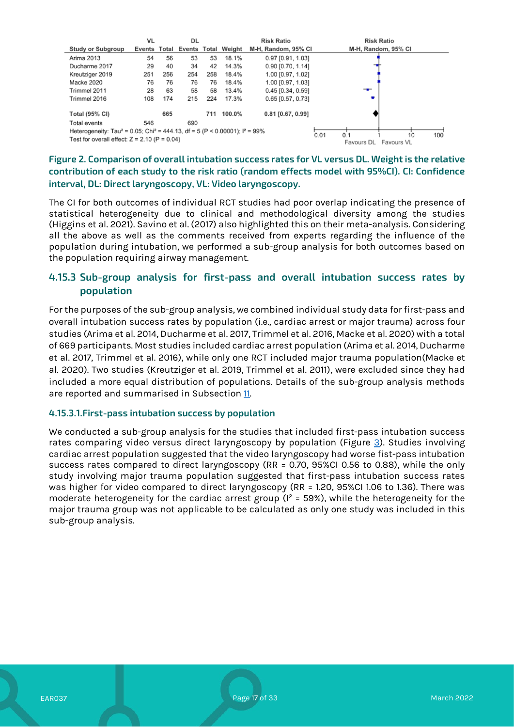

#### **Figure 2. Comparison of overall intubation success rates for VL versus DL. Weight is the relative contribution of each study to the risk ratio (random effects model with 95%CI). CI: Confidence interval, DL: Direct laryngoscopy, VL: Video laryngoscopy.**

The CI for both outcomes of individual RCT studies had poor overlap indicating the presence of statistical heterogeneity due to clinical and methodological diversity among the studies (Higgins et al. 2021). Savino et al. (2017) also highlighted this on their meta-analysis. Considering all the above as well as the comments received from experts regarding the influence of the population during intubation, we performed a sub-group analysis for both outcomes based on the population requiring airway management.

### **4.15.3 Sub-group analysis for first-pass and overall intubation success rates by population**

For the purposes of the sub-group analysis, we combined individual study data for first-pass and overall intubation success rates by population (i.e., cardiac arrest or major trauma) across four studies (Arima et al. 2014, Ducharme et al. 2017, Trimmel et al. 2016, Macke et al. 2020) with a total of 669 participants. Most studies included cardiac arrest population (Arima et al. 2014, Ducharme et al. 2017, Trimmel et al. 2016), while only one RCT included major trauma population(Macke et al. 2020). Two studies (Kreutziger et al. 2019, Trimmel et al. 2011), were excluded since they had included a more equal distribution of populations. Details of the sub-group analysis methods are reported and summarised in Subsection [11.](#page-29-0)

#### **4.15.3.1.First-pass intubation success by population**

We conducted a sub-group analysis for the studies that included first-pass intubation success rates comparing video versus direct laryngoscopy by population (Figure  $3$ ). Studies involving cardiac arrest population suggested that the video laryngoscopy had worse fist-pass intubation success rates compared to direct laryngoscopy (RR = 0.70, 95%CI 0.56 to 0.88), while the only study involving major trauma population suggested that first-pass intubation success rates was higher for video compared to direct laryngoscopy (RR = 1.20, 95%CI 1.06 to 1.36). There was moderate heterogeneity for the cardiac arrest group ( $I^2$  = 59%), while the heterogeneity for the major trauma group was not applicable to be calculated as only one study was included in this sub-group analysis.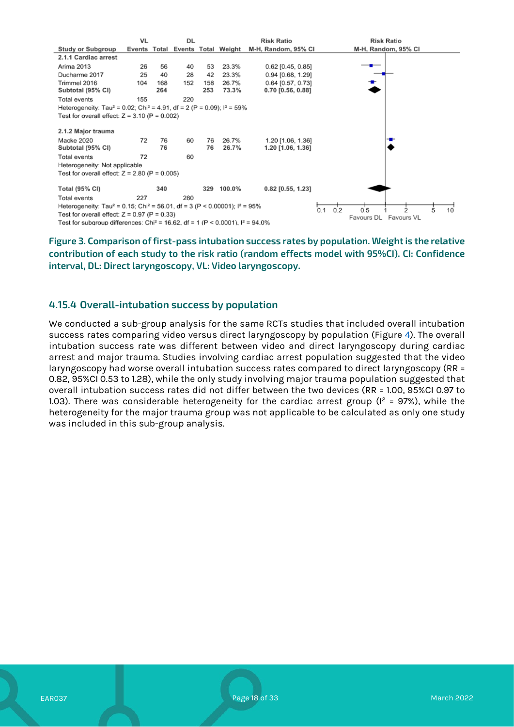

<span id="page-17-0"></span>**Figure 3. Comparison of first-pass intubation success rates by population. Weight is the relative contribution of each study to the risk ratio (random effects model with 95%CI). CI: Confidence interval, DL: Direct laryngoscopy, VL: Video laryngoscopy.**

#### **4.15.4 Overall-intubation success by population**

We conducted a sub-group analysis for the same RCTs studies that included overall intubation success rates comparing video versus direct laryngoscopy by population (Figure [4\)](#page-18-0). The overall intubation success rate was different between video and direct laryngoscopy during cardiac arrest and major trauma. Studies involving cardiac arrest population suggested that the video laryngoscopy had worse overall intubation success rates compared to direct laryngoscopy (RR = 0.82, 95%CI 0.53 to 1.28), while the only study involving major trauma population suggested that overall intubation success rates did not differ between the two devices (RR = 1.00, 95%CI 0.97 to 1.03). There was considerable heterogeneity for the cardiac arrest group ( $I^2 = 97$ %), while the heterogeneity for the major trauma group was not applicable to be calculated as only one study was included in this sub-group analysis.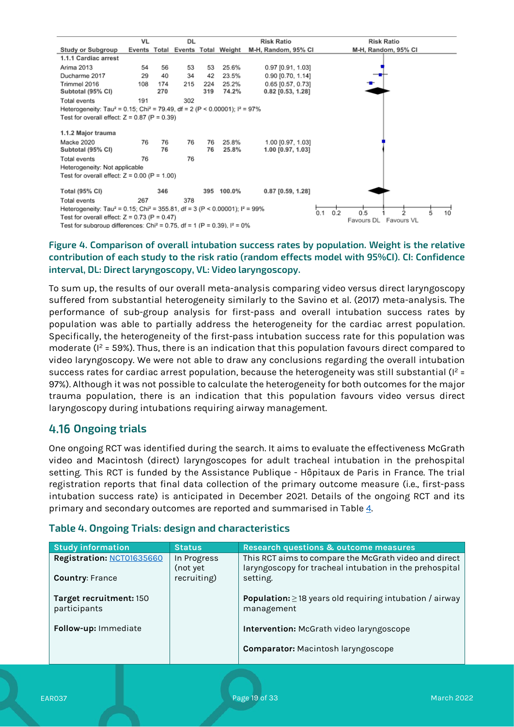

#### <span id="page-18-0"></span>**Figure 4. Comparison of overall intubation success rates by population. Weight is the relative contribution of each study to the risk ratio (random effects model with 95%CI). CI: Confidence interval, DL: Direct laryngoscopy, VL: Video laryngoscopy.**

To sum up, the results of our overall meta-analysis comparing video versus direct laryngoscopy suffered from substantial heterogeneity similarly to the Savino et al. (2017) meta-analysis. The performance of sub-group analysis for first-pass and overall intubation success rates by population was able to partially address the heterogeneity for the cardiac arrest population. Specifically, the heterogeneity of the first-pass intubation success rate for this population was moderate ( $l^2$  = 59%). Thus, there is an indication that this population favours direct compared to video laryngoscopy. We were not able to draw any conclusions regarding the overall intubation success rates for cardiac arrest population, because the heterogeneity was still substantial ( $l^2$  = 97%). Although it was not possible to calculate the heterogeneity for both outcomes for the major trauma population, there is an indication that this population favours video versus direct laryngoscopy during intubations requiring airway management.

# **Ongoing trials**

One ongoing RCT was identified during the search. It aims to evaluate the effectiveness McGrath video and Macintosh (direct) laryngoscopes for adult tracheal intubation in the prehospital setting. This RCT is funded by the Assistance Publique - Hôpitaux de Paris in France. The trial registration reports that final data collection of the primary outcome measure (i.e., first-pass intubation success rate) is anticipated in December 2021. Details of the ongoing RCT and its primary and secondary outcomes are reported and summarised in Table [4.](#page-18-1)

#### <span id="page-18-1"></span>**Table 4. Ongoing Trials: design and characteristics**

| <b>Study information</b>                            | <b>Status</b>                          | <b>Research questions &amp; outcome measures</b>                                                                             |
|-----------------------------------------------------|----------------------------------------|------------------------------------------------------------------------------------------------------------------------------|
| Registration: NCT01635660<br><b>Country: France</b> | In Progress<br>(not yet<br>recruiting) | This RCT aims to compare the McGrath video and direct<br>laryngoscopy for tracheal intubation in the prehospital<br>setting. |
| Target recruitment: 150<br>participants             |                                        | <b>Population:</b> $\geq$ 18 years old requiring intubation / airway<br>management                                           |
| Follow-up: Immediate                                |                                        | Intervention: McGrath video laryngoscope                                                                                     |
|                                                     |                                        | <b>Comparator:</b> Macintosh laryngoscope                                                                                    |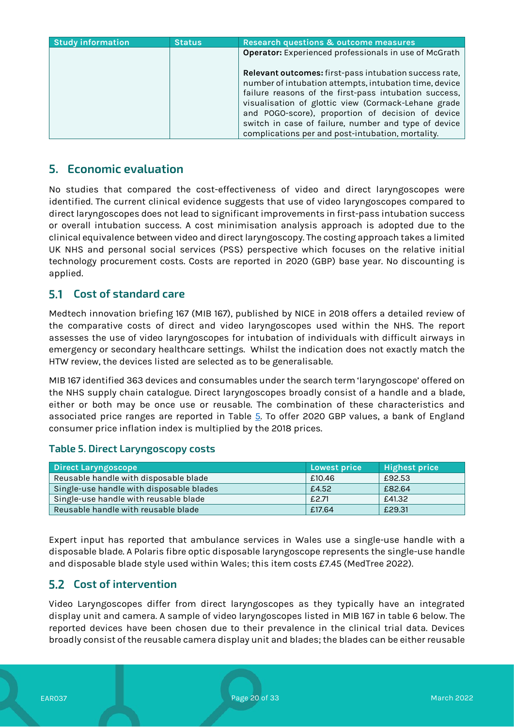| <b>Study information</b> | <b>Status</b> | <b>Research questions &amp; outcome measures</b>                                                                                                                                                                                                                                                                                                                                                          |
|--------------------------|---------------|-----------------------------------------------------------------------------------------------------------------------------------------------------------------------------------------------------------------------------------------------------------------------------------------------------------------------------------------------------------------------------------------------------------|
|                          |               | Operator: Experienced professionals in use of McGrath                                                                                                                                                                                                                                                                                                                                                     |
|                          |               | <b>Relevant outcomes:</b> first-pass intubation success rate,<br>number of intubation attempts, intubation time, device<br>failure reasons of the first-pass intubation success,<br>visualisation of glottic view (Cormack-Lehane grade<br>and POGO-score), proportion of decision of device<br>switch in case of failure, number and type of device<br>complications per and post-intubation, mortality. |

# **5. Economic evaluation**

No studies that compared the cost-effectiveness of video and direct laryngoscopes were identified. The current clinical evidence suggests that use of video laryngoscopes compared to direct laryngoscopes does not lead to significant improvements in first-pass intubation success or overall intubation success. A cost minimisation analysis approach is adopted due to the clinical equivalence between video and direct laryngoscopy. The costing approach takes a limited UK NHS and personal social services (PSS) perspective which focuses on the relative initial technology procurement costs. Costs are reported in 2020 (GBP) base year. No discounting is applied.

#### $5.1$ **Cost of standard care**

Medtech innovation briefing 167 (MIB 167), published by NICE in 2018 offers a detailed review of the comparative costs of direct and video laryngoscopes used within the NHS. The report assesses the use of video laryngoscopes for intubation of individuals with difficult airways in emergency or secondary healthcare settings. Whilst the indication does not exactly match the HTW review, the devices listed are selected as to be generalisable.

MIB 167 identified 363 devices and consumables under the search term 'laryngoscope' offered on the NHS supply chain catalogue. Direct laryngoscopes broadly consist of a handle and a blade, either or both may be once use or reusable. The combination of these characteristics and associated price ranges are reported in Table [5.](#page-19-0) To offer 2020 GBP values, a bank of England consumer price inflation index is multiplied by the 2018 prices.

#### <span id="page-19-0"></span>**Table 5. Direct Laryngoscopy costs**

| Direct Laryngoscope                      | Lowest price | <b>Highest price</b> |
|------------------------------------------|--------------|----------------------|
| Reusable handle with disposable blade    | £10.46       | £92.53               |
| Single-use handle with disposable blades | £4.52        | £82.64               |
| Single-use handle with reusable blade    | £2.71        | £41.32               |
| Reusable handle with reusable blade      | £17.64       | £29.31               |

Expert input has reported that ambulance services in Wales use a single-use handle with a disposable blade. A Polaris fibre optic disposable laryngoscope represents the single-use handle and disposable blade style used within Wales; this item costs £7.45 (MedTree 2022).

### **Cost of intervention**

Video Laryngoscopes differ from direct laryngoscopes as they typically have an integrated display unit and camera. A sample of video laryngoscopes listed in MIB 167 in table 6 below. The reported devices have been chosen due to their prevalence in the clinical trial data. Devices broadly consist of the reusable camera display unit and blades; the blades can be either reusable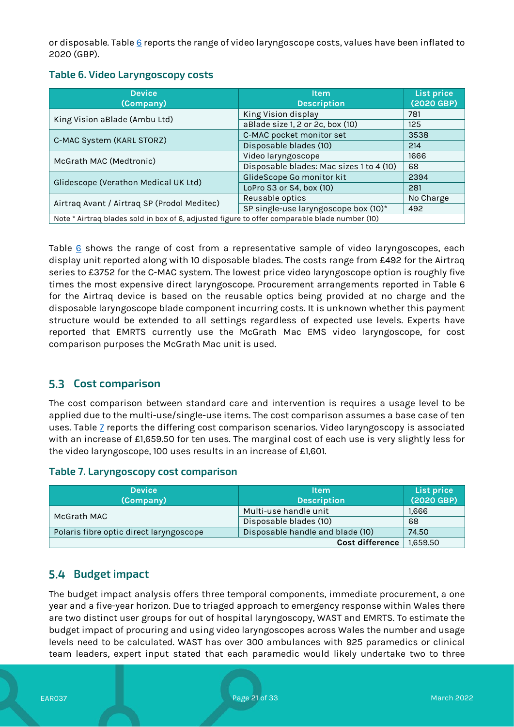or disposable. Table [6](#page-20-0) reports the range of video laryngoscope costs, values have been inflated to 2020 (GBP).

### <span id="page-20-0"></span>**Table 6. Video Laryngoscopy costs**

| <b>Device</b><br>(Company)                                                                    | <b>Item</b><br><b>Description</b>        | List price<br>(2020 GBP) |
|-----------------------------------------------------------------------------------------------|------------------------------------------|--------------------------|
| King Vision aBlade (Ambu Ltd)                                                                 | King Vision display                      | 781                      |
|                                                                                               | aBlade size 1, 2 or 2c, box (10)         | 125                      |
| C-MAC System (KARL STORZ)                                                                     | C-MAC pocket monitor set                 | 3538                     |
|                                                                                               | Disposable blades (10)                   | 214                      |
| McGrath MAC (Medtronic)                                                                       | Video laryngoscope                       | 1666                     |
|                                                                                               | Disposable blades: Mac sizes 1 to 4 (10) | 68                       |
| Glidescope (Verathon Medical UK Ltd)                                                          | GlideScope Go monitor kit                | 2394                     |
|                                                                                               | LoPro S3 or S4, box (10)                 | 281                      |
| Airtraq Avant / Airtraq SP (Prodol Meditec)                                                   | Reusable optics                          | No Charge                |
|                                                                                               | SP single-use laryngoscope box (10)*     | 492                      |
| Note * Airtraq blades sold in box of 6, adjusted figure to offer comparable blade number (10) |                                          |                          |

Table  $6$  shows the range of cost from a representative sample of video laryngoscopes, each display unit reported along with 10 disposable blades. The costs range from £492 for the Airtraq series to £3752 for the C-MAC system. The lowest price video laryngoscope option is roughly five times the most expensive direct laryngoscope. Procurement arrangements reported in Table 6 for the Airtraq device is based on the reusable optics being provided at no charge and the disposable laryngoscope blade component incurring costs. It is unknown whether this payment structure would be extended to all settings regardless of expected use levels. Experts have reported that EMRTS currently use the McGrath Mac EMS video laryngoscope, for cost comparison purposes the McGrath Mac unit is used.

# **5.3 Cost comparison**

The cost comparison between standard care and intervention is requires a usage level to be applied due to the multi-use/single-use items. The cost comparison assumes a base case of ten uses. Table [7](#page-20-1) reports the differing cost comparison scenarios. Video laryngoscopy is associated with an increase of £1,659.50 for ten uses. The marginal cost of each use is very slightly less for the video laryngoscope, 100 uses results in an increase of £1,601.

#### <span id="page-20-1"></span>**Table 7. Laryngoscopy cost comparison**

| <b>Device</b><br>(Company)              | ltem.<br><b>Description</b>      | List price<br>$(2020$ GBP) |
|-----------------------------------------|----------------------------------|----------------------------|
| McGrath MAC                             | Multi-use handle unit            | 1.666                      |
|                                         | Disposable blades (10)           | 68                         |
| Polaris fibre optic direct laryngoscope | Disposable handle and blade (10) | 74.50                      |
|                                         | <b>Cost difference</b>           | 1,659.50                   |

# **Budget impact**

The budget impact analysis offers three temporal components, immediate procurement, a one year and a five-year horizon. Due to triaged approach to emergency response within Wales there are two distinct user groups for out of hospital laryngoscopy, WAST and EMRTS. To estimate the budget impact of procuring and using video laryngoscopes across Wales the number and usage levels need to be calculated. WAST has over 300 ambulances with 925 paramedics or clinical team leaders, expert input stated that each paramedic would likely undertake two to three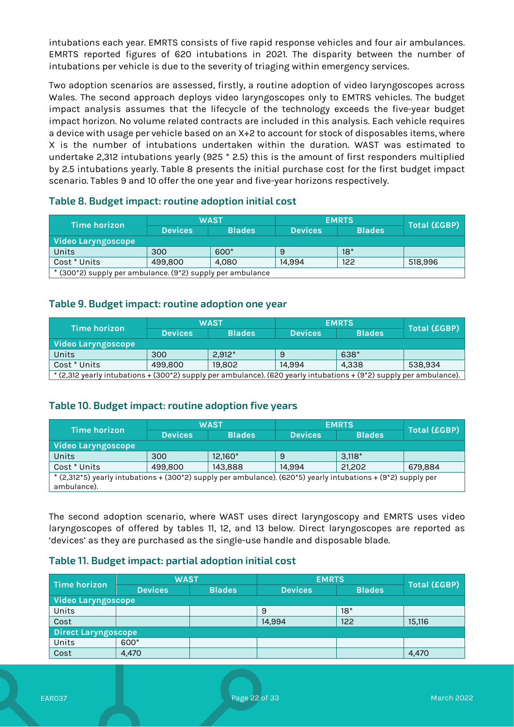intubations each year. EMRTS consists of five rapid response vehicles and four air ambulances. EMRTS reported figures of 620 intubations in 2021. The disparity between the number of intubations per vehicle is due to the severity of triaging within emergency services.

Two adoption scenarios are assessed, firstly, a routine adoption of video laryngoscopes across Wales. The second approach deploys video laryngoscopes only to EMTRS vehicles. The budget impact analysis assumes that the lifecycle of the technology exceeds the five-year budget impact horizon. No volume related contracts are included in this analysis. Each vehicle requires a device with usage per vehicle based on an X+2 to account for stock of disposables items, where X is the number of intubations undertaken within the duration. WAST was estimated to undertake 2,312 intubations yearly (925 \* 2.5) this is the amount of first responders multiplied by 2.5 intubations yearly. Table 8 presents the initial purchase cost for the first budget impact scenario. Tables 9 and 10 offer the one year and five-year horizons respectively.

| Time horizon                                                 | WAST           |               | <b>EMRTS</b>   |               | Total (£GBP) |  |
|--------------------------------------------------------------|----------------|---------------|----------------|---------------|--------------|--|
|                                                              | <b>Devices</b> | <b>Blades</b> | <b>Devices</b> | <b>Blades</b> |              |  |
| Video Laryngoscope                                           |                |               |                |               |              |  |
| Units                                                        | 300            | 600*          | 9              | $18*$         |              |  |
| Cost * Units                                                 | 499,800        | 4.080         | 14.994         | 122           | 518,996      |  |
| $*$ (2008) supply not ambulance $(0*2)$ supply not ambulance |                |               |                |               |              |  |

#### **Table 8. Budget impact: routine adoption initial cost**

\* (300\*2) supply per ambulance. (9\*2) supply per ambulance

#### **Table 9. Budget impact: routine adoption one year**

| Time horizon                                                                                                        | <b>WAST</b>    |               | <b>EMRTS</b>   |               | <b>Total (£GBP)</b> |  |
|---------------------------------------------------------------------------------------------------------------------|----------------|---------------|----------------|---------------|---------------------|--|
|                                                                                                                     | <b>Devices</b> | <b>Blades</b> | <b>Devices</b> | <b>Blades</b> |                     |  |
| Video Laryngoscope                                                                                                  |                |               |                |               |                     |  |
| Units                                                                                                               | 300            | $2.912*$      |                | 638*          |                     |  |
| Cost * Units                                                                                                        | 499,800        | 19,802        | 14.994         | 4.338         | 538,934             |  |
| * (2,312 yearly intubations + (300*2) supply per ambulance). (620 yearly intubations + (9*2) supply per ambulance). |                |               |                |               |                     |  |

#### **Table 10. Budget impact: routine adoption five years**

| <b>Time horizon</b>                                                                                                          | <b>WAST</b>    |               | <b>EMRTS</b>   |               | <b>Total (£GBP)</b> |
|------------------------------------------------------------------------------------------------------------------------------|----------------|---------------|----------------|---------------|---------------------|
|                                                                                                                              | <b>Devices</b> | <b>Blades</b> | <b>Devices</b> | <b>Blades</b> |                     |
| Video Laryngoscope                                                                                                           |                |               |                |               |                     |
| Units                                                                                                                        | 300            | $12.160*$     | 9              | $3.118*$      |                     |
| Cost * Units                                                                                                                 | 499,800        | 143,888       | 14.994         | 21,202        | 679,884             |
| * (2,312*5) yearly intubations + (300*2) supply per ambulance). (620*5) yearly intubations + (9*2) supply per<br>ambulance). |                |               |                |               |                     |

The second adoption scenario, where WAST uses direct laryngoscopy and EMRTS uses video laryngoscopes of offered by tables 11, 12, and 13 below. Direct laryngoscopes are reported as 'devices' as they are purchased as the single-use handle and disposable blade.

#### **Table 11. Budget impact: partial adoption initial cost**

| Time horizon        | <b>WAST</b>               |               | <b>EMRTS</b>   | <b>Total (£GBP)</b> |        |  |  |
|---------------------|---------------------------|---------------|----------------|---------------------|--------|--|--|
|                     | <b>Devices</b>            | <b>Blades</b> | <b>Devices</b> | <b>Blades</b>       |        |  |  |
|                     | <b>Video Laryngoscope</b> |               |                |                     |        |  |  |
| Units               |                           |               | 9              | $18*$               |        |  |  |
| Cost                |                           |               | 14,994         | 122                 | 15,116 |  |  |
| Direct Laryngoscope |                           |               |                |                     |        |  |  |
| Units               | 600*                      |               |                |                     |        |  |  |
| Cost                | 4,470                     |               |                |                     | 4,470  |  |  |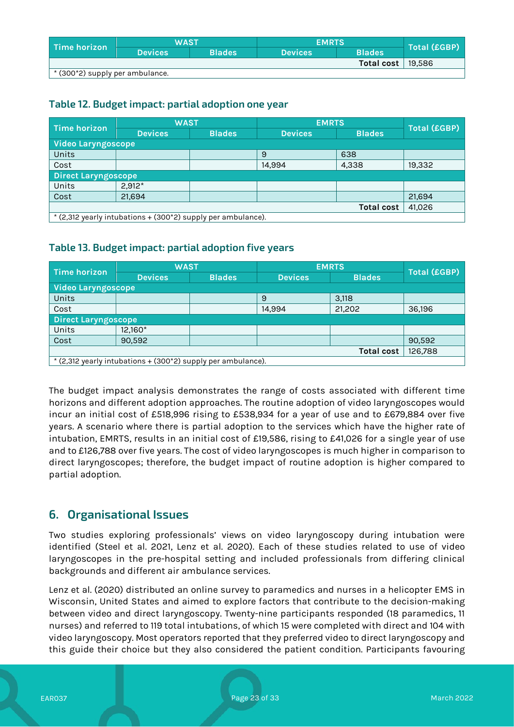| Time horizon                      | <b>WAST</b>    |               | <b>EMRTS</b>   |                       |              |
|-----------------------------------|----------------|---------------|----------------|-----------------------|--------------|
|                                   | <b>Devices</b> | <b>Blades</b> | <b>Devices</b> | <b>Blades</b>         | Total (£GBP) |
|                                   |                |               |                | Total cost $  19.586$ |              |
| , * (300*2) supply per ambulance. |                |               |                |                       |              |

### **Table 12. Budget impact: partial adoption one year**

| Time horizon                                                                  | <b>WAST</b>                |               | <b>EMRTS</b>   |                   | <b>Total (£GBP)</b> |  |  |
|-------------------------------------------------------------------------------|----------------------------|---------------|----------------|-------------------|---------------------|--|--|
|                                                                               | <b>Devices</b>             | <b>Blades</b> | <b>Devices</b> | <b>Blades</b>     |                     |  |  |
| Video Laryngoscope                                                            |                            |               |                |                   |                     |  |  |
| Units                                                                         |                            |               | 9              | 638               |                     |  |  |
| Cost                                                                          |                            |               | 14.994         | 4,338             | 19,332              |  |  |
|                                                                               | <b>Direct Laryngoscope</b> |               |                |                   |                     |  |  |
| Units                                                                         | $2,912*$                   |               |                |                   |                     |  |  |
| Cost                                                                          | 21,694                     |               |                |                   | 21,694              |  |  |
|                                                                               |                            |               |                | <b>Total cost</b> | 41,026              |  |  |
| $*(2.312 \text{ years})$ intubations + $(300 \times 2)$ supply per ambulance) |                            |               |                |                   |                     |  |  |

\* (2,312 yearly intubations + (300\*2) supply per ambulance).

#### **Table 13. Budget impact: partial adoption five years**

| <b>Time horizon</b>                                          | <b>WAST</b>                |               | <b>EMRTS</b>   |               | <b>Total (£GBP)</b> |  |  |
|--------------------------------------------------------------|----------------------------|---------------|----------------|---------------|---------------------|--|--|
|                                                              | <b>Devices</b>             | <b>Blades</b> | <b>Devices</b> | <b>Blades</b> |                     |  |  |
| <b>Video Laryngoscope</b>                                    |                            |               |                |               |                     |  |  |
| Units                                                        |                            |               | 9              | 3,118         |                     |  |  |
| Cost                                                         |                            |               | 14.994         | 21,202        | 36,196              |  |  |
|                                                              | <b>Direct Laryngoscope</b> |               |                |               |                     |  |  |
| Units                                                        | 12,160*                    |               |                |               |                     |  |  |
| Cost                                                         | 90.592                     |               |                |               | 90,592              |  |  |
| <b>Total cost</b><br>126,788                                 |                            |               |                |               |                     |  |  |
| * (2,312 yearly intubations + (300*2) supply per ambulance). |                            |               |                |               |                     |  |  |

The budget impact analysis demonstrates the range of costs associated with different time horizons and different adoption approaches. The routine adoption of video laryngoscopes would incur an initial cost of £518,996 rising to £538,934 for a year of use and to £679,884 over five years. A scenario where there is partial adoption to the services which have the higher rate of intubation, EMRTS, results in an initial cost of £19,586, rising to £41,026 for a single year of use and to £126,788 over five years. The cost of video laryngoscopes is much higher in comparison to direct laryngoscopes; therefore, the budget impact of routine adoption is higher compared to partial adoption.

# **6. Organisational Issues**

Two studies exploring professionals' views on video laryngoscopy during intubation were identified (Steel et al. 2021, Lenz et al. 2020). Each of these studies related to use of video laryngoscopes in the pre-hospital setting and included professionals from differing clinical backgrounds and different air ambulance services.

Lenz et al. (2020) distributed an online survey to paramedics and nurses in a helicopter EMS in Wisconsin, United States and aimed to explore factors that contribute to the decision-making between video and direct laryngoscopy. Twenty-nine participants responded (18 paramedics, 11 nurses) and referred to 119 total intubations, of which 15 were completed with direct and 104 with video laryngoscopy. Most operators reported that they preferred video to direct laryngoscopy and this guide their choice but they also considered the patient condition. Participants favouring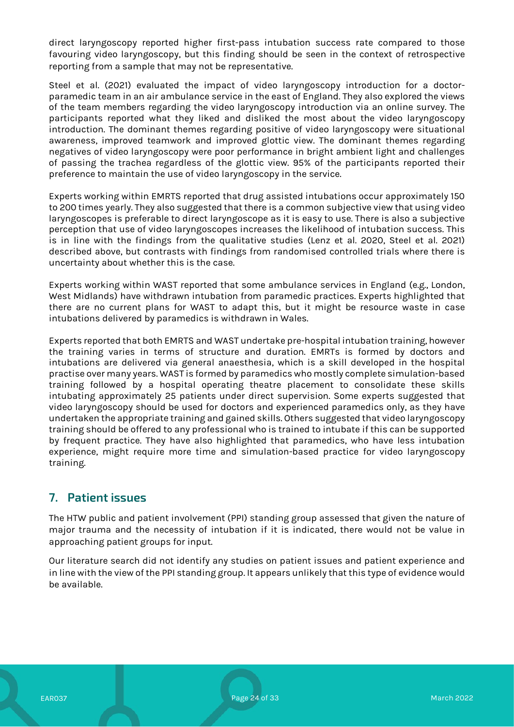direct laryngoscopy reported higher first-pass intubation success rate compared to those favouring video laryngoscopy, but this finding should be seen in the context of retrospective reporting from a sample that may not be representative.

Steel et al. (2021) evaluated the impact of video laryngoscopy introduction for a doctorparamedic team in an air ambulance service in the east of England. They also explored the views of the team members regarding the video laryngoscopy introduction via an online survey. The participants reported what they liked and disliked the most about the video laryngoscopy introduction. The dominant themes regarding positive of video laryngoscopy were situational awareness, improved teamwork and improved glottic view. The dominant themes regarding negatives of video laryngoscopy were poor performance in bright ambient light and challenges of passing the trachea regardless of the glottic view. 95% of the participants reported their preference to maintain the use of video laryngoscopy in the service.

Experts working within EMRTS reported that drug assisted intubations occur approximately 150 to 200 times yearly. They also suggested that there is a common subjective view that using video laryngoscopes is preferable to direct laryngoscope as it is easy to use. There is also a subjective perception that use of video laryngoscopes increases the likelihood of intubation success. This is in line with the findings from the qualitative studies (Lenz et al. 2020, Steel et al. 2021) described above, but contrasts with findings from randomised controlled trials where there is uncertainty about whether this is the case.

Experts working within WAST reported that some ambulance services in England (e.g., London, West Midlands) have withdrawn intubation from paramedic practices. Experts highlighted that there are no current plans for WAST to adapt this, but it might be resource waste in case intubations delivered by paramedics is withdrawn in Wales.

Experts reported that both EMRTS and WAST undertake pre-hospital intubation training, however the training varies in terms of structure and duration. EMRTs is formed by doctors and intubations are delivered via general anaesthesia, which is a skill developed in the hospital practise over many years. WAST is formed by paramedics who mostly complete simulation-based training followed by a hospital operating theatre placement to consolidate these skills intubating approximately 25 patients under direct supervision. Some experts suggested that video laryngoscopy should be used for doctors and experienced paramedics only, as they have undertaken the appropriate training and gained skills. Others suggested that video laryngoscopy training should be offered to any professional who is trained to intubate if this can be supported by frequent practice. They have also highlighted that paramedics, who have less intubation experience, might require more time and simulation-based practice for video laryngoscopy training.

# **7. Patient issues**

The HTW public and patient involvement (PPI) standing group assessed that given the nature of major trauma and the necessity of intubation if it is indicated, there would not be value in approaching patient groups for input.

Our literature search did not identify any studies on patient issues and patient experience and in line with the view of the PPI standing group. It appears unlikely that this type of evidence would be available.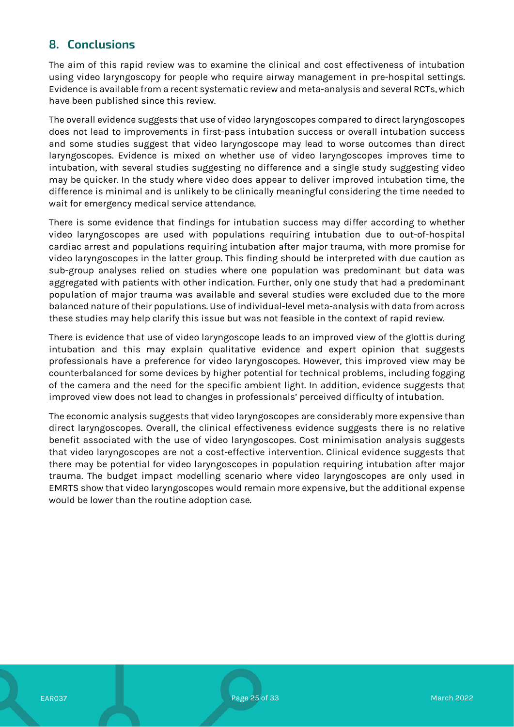# **8. Conclusions**

The aim of this rapid review was to examine the clinical and cost effectiveness of intubation using video laryngoscopy for people who require airway management in pre-hospital settings. Evidence is available from a recent systematic review and meta-analysis and several RCTs, which have been published since this review.

The overall evidence suggests that use of video laryngoscopes compared to direct laryngoscopes does not lead to improvements in first-pass intubation success or overall intubation success and some studies suggest that video laryngoscope may lead to worse outcomes than direct laryngoscopes. Evidence is mixed on whether use of video laryngoscopes improves time to intubation, with several studies suggesting no difference and a single study suggesting video may be quicker. In the study where video does appear to deliver improved intubation time, the difference is minimal and is unlikely to be clinically meaningful considering the time needed to wait for emergency medical service attendance.

There is some evidence that findings for intubation success may differ according to whether video laryngoscopes are used with populations requiring intubation due to out-of-hospital cardiac arrest and populations requiring intubation after major trauma, with more promise for video laryngoscopes in the latter group. This finding should be interpreted with due caution as sub-group analyses relied on studies where one population was predominant but data was aggregated with patients with other indication. Further, only one study that had a predominant population of major trauma was available and several studies were excluded due to the more balanced nature of their populations. Use of individual-level meta-analysis with data from across these studies may help clarify this issue but was not feasible in the context of rapid review.

There is evidence that use of video laryngoscope leads to an improved view of the glottis during intubation and this may explain qualitative evidence and expert opinion that suggests professionals have a preference for video laryngoscopes. However, this improved view may be counterbalanced for some devices by higher potential for technical problems, including fogging of the camera and the need for the specific ambient light. In addition, evidence suggests that improved view does not lead to changes in professionals' perceived difficulty of intubation.

The economic analysis suggests that video laryngoscopes are considerably more expensive than direct laryngoscopes. Overall, the clinical effectiveness evidence suggests there is no relative benefit associated with the use of video laryngoscopes. Cost minimisation analysis suggests that video laryngoscopes are not a cost-effective intervention. Clinical evidence suggests that there may be potential for video laryngoscopes in population requiring intubation after major trauma. The budget impact modelling scenario where video laryngoscopes are only used in EMRTS show that video laryngoscopes would remain more expensive, but the additional expense would be lower than the routine adoption case.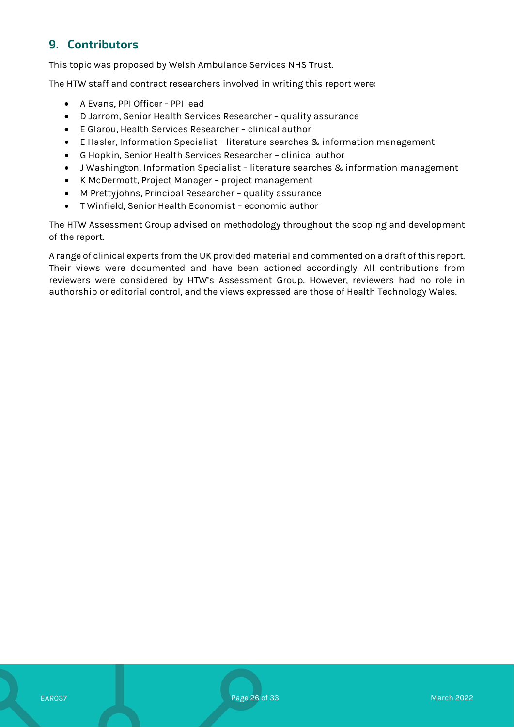# **9. Contributors**

This topic was proposed by Welsh Ambulance Services NHS Trust.

The HTW staff and contract researchers involved in writing this report were:

- A Evans, PPI Officer PPI lead
- D Jarrom, Senior Health Services Researcher quality assurance
- E Glarou, Health Services Researcher clinical author
- E Hasler, Information Specialist literature searches & information management
- G Hopkin, Senior Health Services Researcher clinical author
- J Washington, Information Specialist literature searches & information management
- K McDermott, Project Manager project management
- M Prettyjohns, Principal Researcher quality assurance
- T Winfield, Senior Health Economist economic author

The HTW Assessment Group advised on methodology throughout the scoping and development of the report.

A range of clinical experts from the UK provided material and commented on a draft of this report. Their views were documented and have been actioned accordingly. All contributions from reviewers were considered by HTW's Assessment Group. However, reviewers had no role in authorship or editorial control, and the views expressed are those of Health Technology Wales.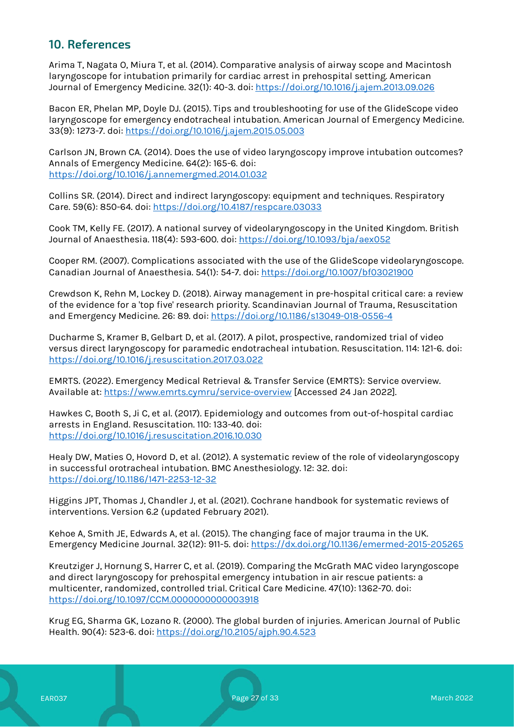# **10. References**

Arima T, Nagata O, Miura T, et al. (2014). Comparative analysis of airway scope and Macintosh laryngoscope for intubation primarily for cardiac arrest in prehospital setting. American Journal of Emergency Medicine. 32(1): 40-3. doi:<https://doi.org/10.1016/j.ajem.2013.09.026>

Bacon ER, Phelan MP, Doyle DJ. (2015). Tips and troubleshooting for use of the GlideScope video laryngoscope for emergency endotracheal intubation. American Journal of Emergency Medicine. 33(9): 1273-7. doi:<https://doi.org/10.1016/j.ajem.2015.05.003>

Carlson JN, Brown CA. (2014). Does the use of video laryngoscopy improve intubation outcomes? Annals of Emergency Medicine. 64(2): 165-6. doi: <https://doi.org/10.1016/j.annemergmed.2014.01.032>

Collins SR. (2014). Direct and indirect laryngoscopy: equipment and techniques. Respiratory Care. 59(6): 850-64. doi:<https://doi.org/10.4187/respcare.03033>

Cook TM, Kelly FE. (2017). A national survey of videolaryngoscopy in the United Kingdom. British Journal of Anaesthesia. 118(4): 593-600. doi:<https://doi.org/10.1093/bja/aex052>

Cooper RM. (2007). Complications associated with the use of the GlideScope videolaryngoscope. Canadian Journal of Anaesthesia. 54(1): 54-7. doi[: https://doi.org/10.1007/bf03021900](https://doi.org/10.1007/bf03021900)

Crewdson K, Rehn M, Lockey D. (2018). Airway management in pre-hospital critical care: a review of the evidence for a 'top five' research priority. Scandinavian Journal of Trauma, Resuscitation and Emergency Medicine. 26: 89. doi:<https://doi.org/10.1186/s13049-018-0556-4>

Ducharme S, Kramer B, Gelbart D, et al. (2017). A pilot, prospective, randomized trial of video versus direct laryngoscopy for paramedic endotracheal intubation. Resuscitation. 114: 121-6. doi: <https://doi.org/10.1016/j.resuscitation.2017.03.022>

EMRTS. (2022). Emergency Medical Retrieval & Transfer Service (EMRTS): Service overview. Available at:<https://www.emrts.cymru/service-overview> [Accessed 24 Jan 2022].

Hawkes C, Booth S, Ji C, et al. (2017). Epidemiology and outcomes from out-of-hospital cardiac arrests in England. Resuscitation. 110: 133-40. doi: <https://doi.org/10.1016/j.resuscitation.2016.10.030>

Healy DW, Maties O, Hovord D, et al. (2012). A systematic review of the role of videolaryngoscopy in successful orotracheal intubation. BMC Anesthesiology. 12: 32. doi: <https://doi.org/10.1186/1471-2253-12-32>

Higgins JPT, Thomas J, Chandler J, et al. (2021). Cochrane handbook for systematic reviews of interventions. Version 6.2 (updated February 2021).

Kehoe A, Smith JE, Edwards A, et al. (2015). The changing face of major trauma in the UK. Emergency Medicine Journal. 32(12): 911-5. doi:<https://dx.doi.org/10.1136/emermed-2015-205265>

Kreutziger J, Hornung S, Harrer C, et al. (2019). Comparing the McGrath MAC video laryngoscope and direct laryngoscopy for prehospital emergency intubation in air rescue patients: a multicenter, randomized, controlled trial. Critical Care Medicine. 47(10): 1362-70. doi: <https://doi.org/10.1097/CCM.0000000000003918>

Krug EG, Sharma GK, Lozano R. (2000). The global burden of injuries. American Journal of Public Health. 90(4): 523-6. doi:<https://doi.org/10.2105/ajph.90.4.523>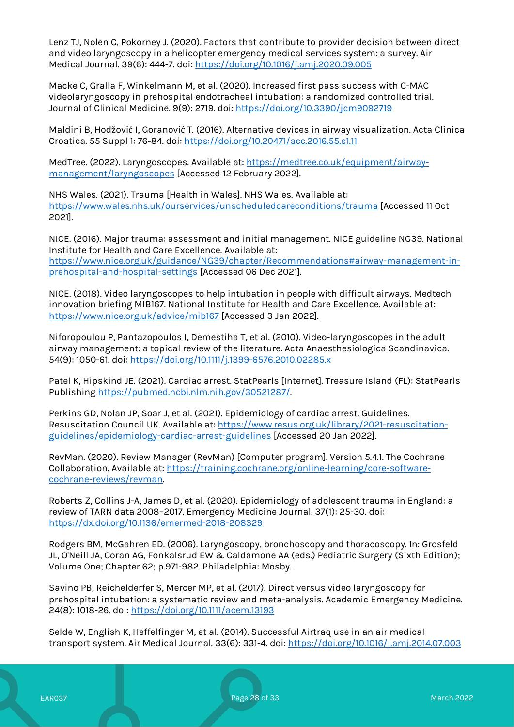Lenz TJ, Nolen C, Pokorney J. (2020). Factors that contribute to provider decision between direct and video laryngoscopy in a helicopter emergency medical services system: a survey. Air Medical Journal. 39(6): 444-7. doi:<https://doi.org/10.1016/j.amj.2020.09.005>

Macke C, Gralla F, Winkelmann M, et al. (2020). Increased first pass success with C-MAC videolaryngoscopy in prehospital endotracheal intubation: a randomized controlled trial. Journal of Clinical Medicine. 9(9): 2719. doi:<https://doi.org/10.3390/jcm9092719>

Maldini B, Hodžović I, Goranović T. (2016). Alternative devices in airway visualization. Acta Clinica Croatica. 55 Suppl 1: 76-84. doi:<https://doi.org/10.20471/acc.2016.55.s1.11>

MedTree. (2022). Laryngoscopes. Available at: [https://medtree.co.uk/equipment/airway](https://medtree.co.uk/equipment/airway-management/laryngoscopes)[management/laryngoscopes](https://medtree.co.uk/equipment/airway-management/laryngoscopes) [Accessed 12 February 2022].

NHS Wales. (2021). Trauma [Health in Wales]. NHS Wales. Available at: <https://www.wales.nhs.uk/ourservices/unscheduledcareconditions/trauma> [Accessed 11 Oct 2021].

NICE. (2016). Major trauma: assessment and initial management. NICE guideline NG39. National Institute for Health and Care Excellence. Available at: [https://www.nice.org.uk/guidance/NG39/chapter/Recommendations#airway-management-in](https://www.nice.org.uk/guidance/NG39/chapter/Recommendations#airway-management-in-prehospital-and-hospital-settings)[prehospital-and-hospital-settings](https://www.nice.org.uk/guidance/NG39/chapter/Recommendations#airway-management-in-prehospital-and-hospital-settings) [Accessed 06 Dec 2021].

NICE. (2018). Video laryngoscopes to help intubation in people with difficult airways. Medtech innovation briefing MIB167. National Institute for Health and Care Excellence. Available at: <https://www.nice.org.uk/advice/mib167> [Accessed 3 Jan 2022].

Niforopoulou P, Pantazopoulos I, Demestiha T, et al. (2010). Video-laryngoscopes in the adult airway management: a topical review of the literature. Acta Anaesthesiologica Scandinavica. 54(9): 1050-61. doi[: https://doi.org/10.1111/j.1399-6576.2010.02285.x](https://doi.org/10.1111/j.1399-6576.2010.02285.x)

Patel K, Hipskind JE. (2021). Cardiac arrest. StatPearls [Internet]. Treasure Island (FL): StatPearls Publishing [https://pubmed.ncbi.nlm.nih.gov/30521287/.](https://pubmed.ncbi.nlm.nih.gov/30521287/)

Perkins GD, Nolan JP, Soar J, et al. (2021). Epidemiology of cardiac arrest. Guidelines. Resuscitation Council UK. Available at: [https://www.resus.org.uk/library/2021-resuscitation](https://www.resus.org.uk/library/2021-resuscitation-guidelines/epidemiology-cardiac-arrest-guidelines)[guidelines/epidemiology-cardiac-arrest-guidelines](https://www.resus.org.uk/library/2021-resuscitation-guidelines/epidemiology-cardiac-arrest-guidelines) [Accessed 20 Jan 2022].

RevMan. (2020). Review Manager (RevMan) [Computer program]. Version 5.4.1. The Cochrane Collaboration. Available at: [https://training.cochrane.org/online-learning/core-software](https://training.cochrane.org/online-learning/core-software-cochrane-reviews/revman)[cochrane-reviews/revman.](https://training.cochrane.org/online-learning/core-software-cochrane-reviews/revman)

Roberts Z, Collins J-A, James D, et al. (2020). Epidemiology of adolescent trauma in England: a review of TARN data 2008–2017. Emergency Medicine Journal. 37(1): 25-30. doi: <https://dx.doi.org/10.1136/emermed-2018-208329>

Rodgers BM, McGahren ED. (2006). Laryngoscopy, bronchoscopy and thoracoscopy. In: Grosfeld JL, O'Neill JA, Coran AG, Fonkalsrud EW & Caldamone AA (eds.) Pediatric Surgery (Sixth Edition); Volume One; Chapter 62; p.971-982. Philadelphia: Mosby.

Savino PB, Reichelderfer S, Mercer MP, et al. (2017). Direct versus video laryngoscopy for prehospital intubation: a systematic review and meta-analysis. Academic Emergency Medicine. 24(8): 1018-26. doi[: https://doi.org/10.1111/acem.13193](https://doi.org/10.1111/acem.13193)

Selde W, English K, Heffelfinger M, et al. (2014). Successful Airtraq use in an air medical transport system. Air Medical Journal. 33(6): 331-4. doi[: https://doi.org/10.1016/j.amj.2014.07.003](https://doi.org/10.1016/j.amj.2014.07.003)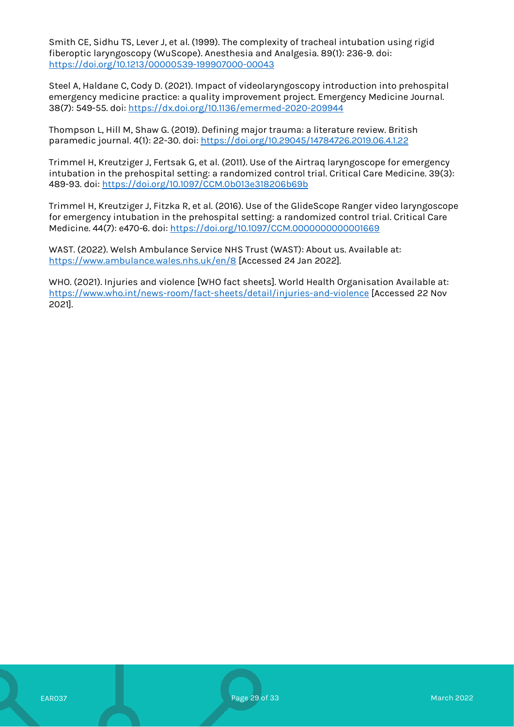Smith CE, Sidhu TS, Lever J, et al. (1999). The complexity of tracheal intubation using rigid fiberoptic laryngoscopy (WuScope). Anesthesia and Analgesia. 89(1): 236-9. doi: <https://doi.org/10.1213/00000539-199907000-00043>

Steel A, Haldane C, Cody D. (2021). Impact of videolaryngoscopy introduction into prehospital emergency medicine practice: a quality improvement project. Emergency Medicine Journal. 38(7): 549-55. doi[: https://dx.doi.org/10.1136/emermed-2020-209944](https://dx.doi.org/10.1136/emermed-2020-209944)

Thompson L, Hill M, Shaw G. (2019). Defining major trauma: a literature review. British paramedic journal. 4(1): 22-30. doi[: https://doi.org/10.29045/14784726.2019.06.4.1.22](https://doi.org/10.29045/14784726.2019.06.4.1.22)

Trimmel H, Kreutziger J, Fertsak G, et al. (2011). Use of the Airtraq laryngoscope for emergency intubation in the prehospital setting: a randomized control trial. Critical Care Medicine. 39(3): 489-93. doi:<https://doi.org/10.1097/CCM.0b013e318206b69b>

Trimmel H, Kreutziger J, Fitzka R, et al. (2016). Use of the GlideScope Ranger video laryngoscope for emergency intubation in the prehospital setting: a randomized control trial. Critical Care Medicine. 44(7): e470-6. doi:<https://doi.org/10.1097/CCM.0000000000001669>

WAST. (2022). Welsh Ambulance Service NHS Trust (WAST): About us. Available at: <https://www.ambulance.wales.nhs.uk/en/8> [Accessed 24 Jan 2022].

WHO. (2021). Injuries and violence [WHO fact sheets]. World Health Organisation Available at: <https://www.who.int/news-room/fact-sheets/detail/injuries-and-violence> [Accessed 22 Nov 2021].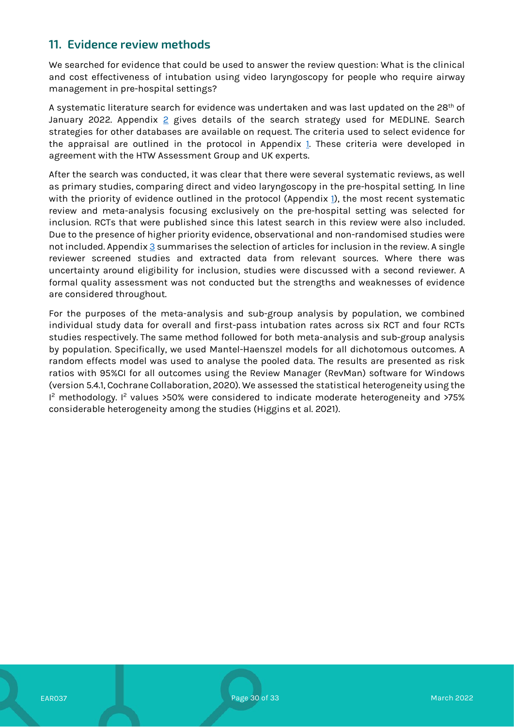# <span id="page-29-0"></span>**11. Evidence review methods**

We searched for evidence that could be used to answer the review question: What is the clinical and cost effectiveness of intubation using video laryngoscopy for people who require airway management in pre-hospital settings?

A systematic literature search for evidence was undertaken and was last updated on the 28<sup>th</sup> of January [2](#page-31-0)022. Appendix 2 gives details of the search strategy used for MEDLINE. Search strategies for other databases are available on request. The criteria used to select evidence for the appraisal are outlined in the protocol in Appendix [1.](#page-30-0) These criteria were developed in agreement with the HTW Assessment Group and UK experts.

After the search was conducted, it was clear that there were several systematic reviews, as well as primary studies, comparing direct and video laryngoscopy in the pre-hospital setting. In line with the priority of evidence outlined in the protocol (Appendix [1\)](#page-30-0), the most recent systematic review and meta-analysis focusing exclusively on the pre-hospital setting was selected for inclusion. RCTs that were published since this latest search in this review were also included. Due to the presence of higher priority evidence, observational and non-randomised studies were not included. Appendix [3](#page-32-0) summarises the selection of articles for inclusion in the review. A single reviewer screened studies and extracted data from relevant sources. Where there was uncertainty around eligibility for inclusion, studies were discussed with a second reviewer. A formal quality assessment was not conducted but the strengths and weaknesses of evidence are considered throughout.

For the purposes of the meta-analysis and sub-group analysis by population, we combined individual study data for overall and first-pass intubation rates across six RCT and four RCTs studies respectively. The same method followed for both meta-analysis and sub-group analysis by population. Specifically, we used Mantel-Haenszel models for all dichotomous outcomes. A random effects model was used to analyse the pooled data. The results are presented as risk ratios with 95%CI for all outcomes using the Review Manager (RevMan) software for Windows (version 5.4.1, Cochrane Collaboration, 2020). We assessed the statistical heterogeneity using the I<sup>2</sup> methodology. I<sup>2</sup> values >50% were considered to indicate moderate heterogeneity and >75% considerable heterogeneity among the studies (Higgins et al. 2021).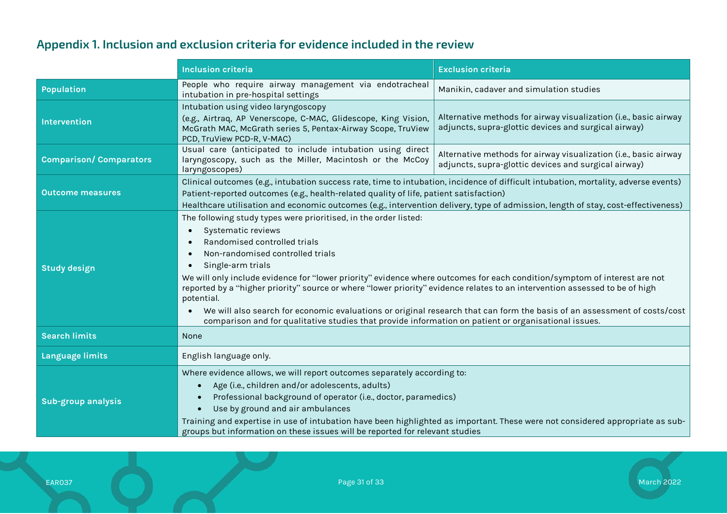# **Appendix 1. Inclusion and exclusion criteria for evidence included in the review**

<span id="page-30-0"></span>

|                                | <b>Inclusion criteria</b>                                                                                                                                                                                                                                                                                                                                                                                                                                                                                                                                                                                                                                                                                                                                      | <b>Exclusion criteria</b>                                                                                                |  |  |  |
|--------------------------------|----------------------------------------------------------------------------------------------------------------------------------------------------------------------------------------------------------------------------------------------------------------------------------------------------------------------------------------------------------------------------------------------------------------------------------------------------------------------------------------------------------------------------------------------------------------------------------------------------------------------------------------------------------------------------------------------------------------------------------------------------------------|--------------------------------------------------------------------------------------------------------------------------|--|--|--|
| <b>Population</b>              | People who require airway management via endotracheal<br>intubation in pre-hospital settings                                                                                                                                                                                                                                                                                                                                                                                                                                                                                                                                                                                                                                                                   | Manikin, cadaver and simulation studies                                                                                  |  |  |  |
| <b>Intervention</b>            | Intubation using video laryngoscopy<br>(e.g., Airtraq, AP Venerscope, C-MAC, Glidescope, King Vision,<br>McGrath MAC, McGrath series 5, Pentax-Airway Scope, TruView<br>PCD, TruView PCD-R, V-MAC)                                                                                                                                                                                                                                                                                                                                                                                                                                                                                                                                                             | Alternative methods for airway visualization (i.e., basic airway<br>adjuncts, supra-glottic devices and surgical airway) |  |  |  |
| <b>Comparison/ Comparators</b> | Usual care (anticipated to include intubation using direct<br>Alternative methods for airway visualization (i.e., basic airway<br>laryngoscopy, such as the Miller, Macintosh or the McCoy<br>adjuncts, supra-glottic devices and surgical airway)<br>laryngoscopes)                                                                                                                                                                                                                                                                                                                                                                                                                                                                                           |                                                                                                                          |  |  |  |
| <b>Outcome measures</b>        | Clinical outcomes (e.g., intubation success rate, time to intubation, incidence of difficult intubation, mortality, adverse events)<br>Patient-reported outcomes (e.g., health-related quality of life, patient satisfaction)<br>Healthcare utilisation and economic outcomes (e.g., intervention delivery, type of admission, length of stay, cost-effectiveness)                                                                                                                                                                                                                                                                                                                                                                                             |                                                                                                                          |  |  |  |
| <b>Study design</b>            | The following study types were prioritised, in the order listed:<br>Systematic reviews<br>$\bullet$<br>Randomised controlled trials<br>$\bullet$<br>Non-randomised controlled trials<br>$\bullet$<br>Single-arm trials<br>$\bullet$<br>We will only include evidence for "lower priority" evidence where outcomes for each condition/symptom of interest are not<br>reported by a "higher priority" source or where "lower priority" evidence relates to an intervention assessed to be of high<br>potential.<br>We will also search for economic evaluations or original research that can form the basis of an assessment of costs/cost<br>$\bullet$<br>comparison and for qualitative studies that provide information on patient or organisational issues. |                                                                                                                          |  |  |  |
| <b>Search limits</b>           | None                                                                                                                                                                                                                                                                                                                                                                                                                                                                                                                                                                                                                                                                                                                                                           |                                                                                                                          |  |  |  |
| Language limits                | English language only.                                                                                                                                                                                                                                                                                                                                                                                                                                                                                                                                                                                                                                                                                                                                         |                                                                                                                          |  |  |  |
| <b>Sub-group analysis</b>      | Where evidence allows, we will report outcomes separately according to:<br>Age (i.e., children and/or adolescents, adults)<br>Professional background of operator (i.e., doctor, paramedics)<br>Use by ground and air ambulances<br>Training and expertise in use of intubation have been highlighted as important. These were not considered appropriate as sub-<br>groups but information on these issues will be reported for relevant studies                                                                                                                                                                                                                                                                                                              |                                                                                                                          |  |  |  |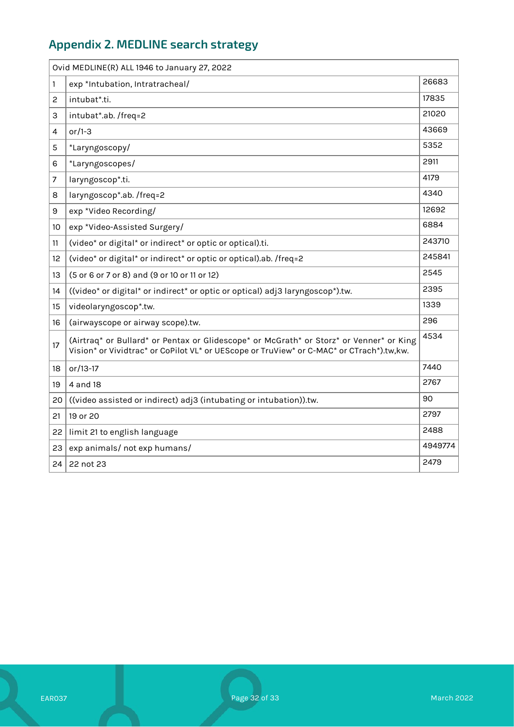# <span id="page-31-0"></span>**Appendix 2. MEDLINE search strategy**

|    | Ovid MEDLINE(R) ALL 1946 to January 27, 2022                                                                                                                                        |         |
|----|-------------------------------------------------------------------------------------------------------------------------------------------------------------------------------------|---------|
| 1  | exp *Intubation, Intratracheal/                                                                                                                                                     | 26683   |
| 2  | intubat*.ti.                                                                                                                                                                        | 17835   |
| 3  | intubat*.ab. /freq=2                                                                                                                                                                | 21020   |
| 4  | or/1-3                                                                                                                                                                              | 43669   |
| 5  | *Laryngoscopy/                                                                                                                                                                      | 5352    |
| 6  | *Laryngoscopes/                                                                                                                                                                     | 2911    |
| 7  | laryngoscop*.ti.                                                                                                                                                                    | 4179    |
| 8  | laryngoscop*.ab. /freq=2                                                                                                                                                            | 4340    |
| 9  | exp *Video Recording/                                                                                                                                                               | 12692   |
| 10 | exp *Video-Assisted Surgery/                                                                                                                                                        | 6884    |
| 11 | (video* or digital* or indirect* or optic or optical).ti.                                                                                                                           | 243710  |
| 12 | (video* or digital* or indirect* or optic or optical).ab. /freq=2                                                                                                                   | 245841  |
| 13 | (5 or 6 or 7 or 8) and (9 or 10 or 11 or 12)                                                                                                                                        | 2545    |
| 14 | ((video* or digital* or indirect* or optic or optical) adj3 laryngoscop*).tw.                                                                                                       | 2395    |
| 15 | videolaryngoscop*.tw.                                                                                                                                                               | 1339    |
| 16 | (airwayscope or airway scope).tw.                                                                                                                                                   | 296     |
| 17 | (Airtraq* or Bullard* or Pentax or Glidescope* or McGrath* or Storz* or Venner* or King<br>Vision* or Vividtrac* or CoPilot VL* or UEScope or TruView* or C-MAC* or CTrach*).tw,kw. | 4534    |
| 18 | or/13-17                                                                                                                                                                            | 7440    |
| 19 | 4 and 18                                                                                                                                                                            | 2767    |
| 20 | ((video assisted or indirect) adj3 (intubating or intubation)).tw.                                                                                                                  | 90      |
| 21 | 19 or 20                                                                                                                                                                            | 2797    |
| 22 | limit 21 to english language                                                                                                                                                        | 2488    |
| 23 | exp animals/ not exp humans/                                                                                                                                                        | 4949774 |
| 24 | 22 not 23                                                                                                                                                                           | 2479    |